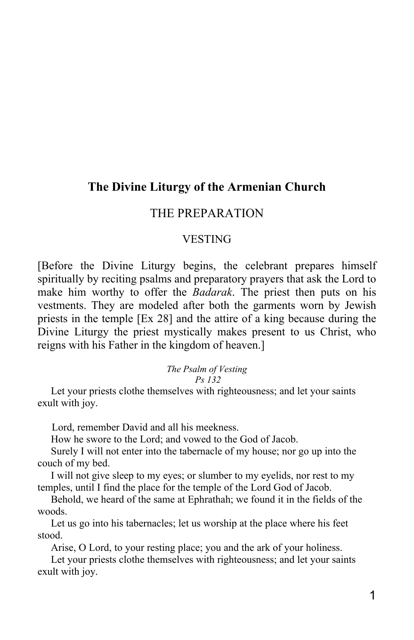# **The Divine Liturgy of the Armenian Church**

# THE PREPARATION

# VESTING

[Before the Divine Liturgy begins, the celebrant prepares himself spiritually by reciting psalms and preparatory prayers that ask the Lord to make him worthy to offer the *Badarak*. The priest then puts on his vestments. They are modeled after both the garments worn by Jewish priests in the temple [Ex 28] and the attire of a king because during the Divine Liturgy the priest mystically makes present to us Christ, who reigns with his Father in the kingdom of heaven.]

### *The Psalm of Vesting*

# *Ps 132*

 Let your priests clothe themselves with righteousness; and let your saints exult with joy.

Lord, remember David and all his meekness.

How he swore to the Lord; and vowed to the God of Jacob.

 Surely I will not enter into the tabernacle of my house; nor go up into the couch of my bed.

 I will not give sleep to my eyes; or slumber to my eyelids, nor rest to my temples, until I find the place for the temple of the Lord God of Jacob.

 Behold, we heard of the same at Ephrathah; we found it in the fields of the woods.

 Let us go into his tabernacles; let us worship at the place where his feet stood.

Arise, O Lord, to your resting place; you and the ark of your holiness.

 Let your priests clothe themselves with righteousness; and let your saints exult with joy.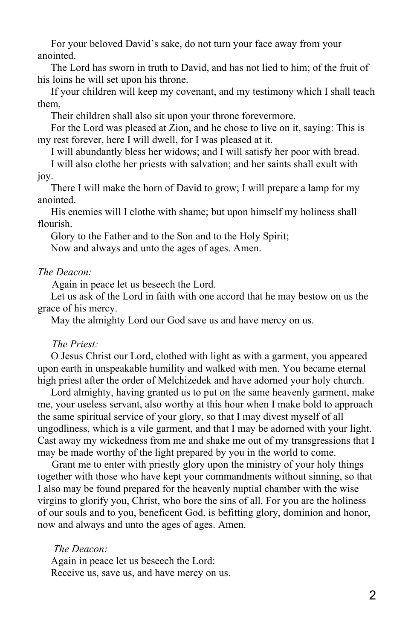For your beloved David's sake, do not turn your face away from your anointed.

 The Lord has sworn in truth to David, and has not lied to him; of the fruit of his loins he will set upon his throne.

 If your children will keep my covenant, and my testimony which I shall teach them,

Their children shall also sit upon your throne forevermore.

 For the Lord was pleased at Zion, and he chose to live on it, saying: This is my rest forever, here I will dwell, for I was pleased at it.

I will abundantly bless her widows; and I will satisfy her poor with bread.

 I will also clothe her priests with salvation; and her saints shall exult with joy.

 There I will make the horn of David to grow; I will prepare a lamp for my anointed.

 His enemies will I clothe with shame; but upon himself my holiness shall flourish.

Glory to the Father and to the Son and to the Holy Spirit;

Now and always and unto the ages of ages. Amen.

### *The Deacon:*

Again in peace let us beseech the Lord.

 Let us ask of the Lord in faith with one accord that he may bestow on us the grace of his mercy.

May the almighty Lord our God save us and have mercy on us.

# *The Priest:*

 O Jesus Christ our Lord, clothed with light as with a garment, you appeared upon earth in unspeakable humility and walked with men. You became eternal high priest after the order of Melchizedek and have adorned your holy church.

 Lord almighty, having granted us to put on the same heavenly garment, make me, your useless servant, also worthy at this hour when I make bold to approach the same spiritual service of your glory, so that I may divest myself of all ungodliness, which is a vile garment, and that I may be adorned with your light. Cast away my wickedness from me and shake me out of my transgressions that I may be made worthy of the light prepared by you in the world to come.

Grant me to enter with priestly glory upon the ministry of your holy things together with those who have kept your commandments without sinning, so that I also may be found prepared for the heavenly nuptial chamber with the wise virgins to glorify you, Christ, who bore the sins of all. For you are the holiness of our souls and to you, beneficent God, is befitting glory, dominion and honor, now and always and unto the ages of ages. Amen.

 *The Deacon:* Again in peace let us beseech the Lord: Receive us, save us, and have mercy on us.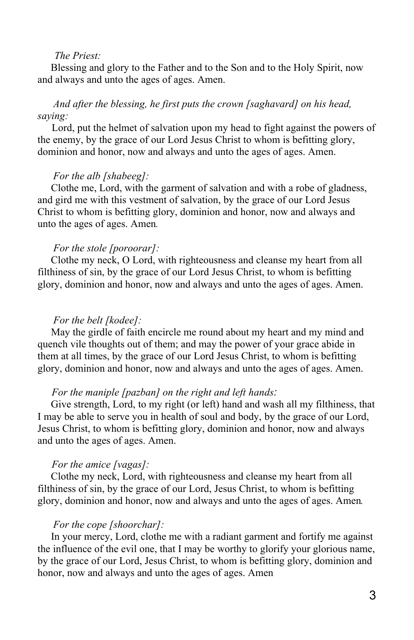# *The Priest:*

 Blessing and glory to the Father and to the Son and to the Holy Spirit, now and always and unto the ages of ages. Amen.

# *And after the blessing, he first puts the crown [saghavard] on his head, saying:*

Lord, put the helmet of salvation upon my head to fight against the powers of the enemy, by the grace of our Lord Jesus Christ to whom is befitting glory, dominion and honor, now and always and unto the ages of ages. Amen.

### *For the alb [shabeeg]:*

 Clothe me, Lord, with the garment of salvation and with a robe of gladness, and gird me with this vestment of salvation, by the grace of our Lord Jesus Christ to whom is befitting glory, dominion and honor, now and always and unto the ages of ages. Amen*.*

### *For the stole [poroorar]:*

 Clothe my neck, O Lord, with righteousness and cleanse my heart from all filthiness of sin, by the grace of our Lord Jesus Christ, to whom is befitting glory, dominion and honor, now and always and unto the ages of ages. Amen.

### *For the belt [kodee]:*

 May the girdle of faith encircle me round about my heart and my mind and quench vile thoughts out of them; and may the power of your grace abide in them at all times, by the grace of our Lord Jesus Christ, to whom is befitting glory, dominion and honor, now and always and unto the ages of ages. Amen.

### *For the maniple [pazban] on the right and left hands:*

 Give strength, Lord, to my right (or left) hand and wash all my filthiness, that I may be able to serve you in health of soul and body, by the grace of our Lord, Jesus Christ, to whom is befitting glory, dominion and honor, now and always and unto the ages of ages. Amen.

### *For the amice [vagas]:*

 Clothe my neck, Lord, with righteousness and cleanse my heart from all filthiness of sin, by the grace of our Lord, Jesus Christ, to whom is befitting glory, dominion and honor, now and always and unto the ages of ages. Amen*.*

# *For the cope [shoorchar]:*

 In your mercy, Lord, clothe me with a radiant garment and fortify me against the influence of the evil one, that I may be worthy to glorify your glorious name, by the grace of our Lord, Jesus Christ, to whom is befitting glory, dominion and honor, now and always and unto the ages of ages. Amen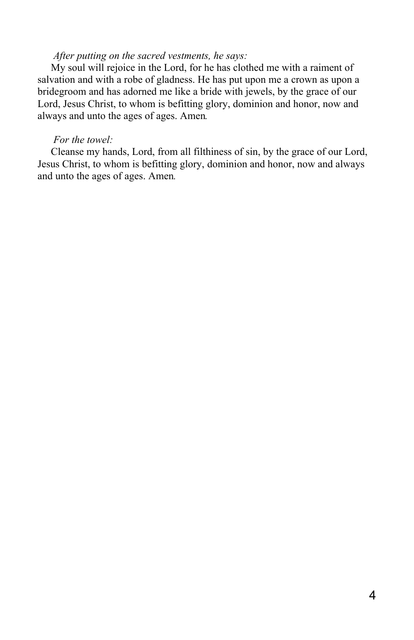# *After putting on the sacred vestments, he says:*

 My soul will rejoice in the Lord, for he has clothed me with a raiment of salvation and with a robe of gladness. He has put upon me a crown as upon a bridegroom and has adorned me like a bride with jewels, by the grace of our Lord, Jesus Christ, to whom is befitting glory, dominion and honor, now and always and unto the ages of ages. Amen*.*

### *For the towel:*

 Cleanse my hands, Lord, from all filthiness of sin, by the grace of our Lord, Jesus Christ, to whom is befitting glory, dominion and honor, now and always and unto the ages of ages. Amen*.*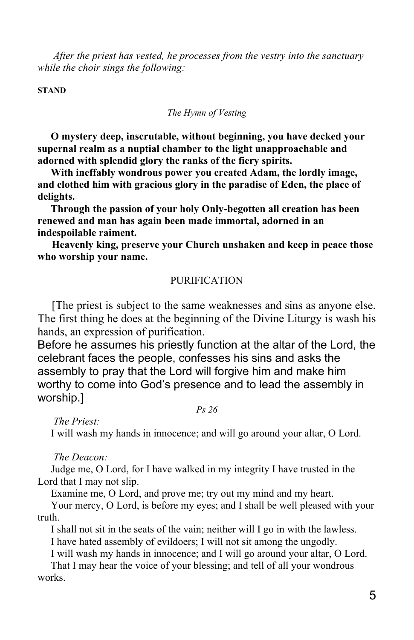*After the priest has vested, he processes from the vestry into the sanctuary while the choir sings the following:*

**STAND**

*The Hymn of Vesting*

 **O mystery deep, inscrutable, without beginning, you have decked your supernal realm as a nuptial chamber to the light unapproachable and adorned with splendid glory the ranks of the fiery spirits.**

 **With ineffably wondrous power you created Adam, the lordly image, and clothed him with gracious glory in the paradise of Eden, the place of delights.**

 **Through the passion of your holy Only-begotten all creation has been renewed and man has again been made immortal, adorned in an indespoilable raiment.**

**Heavenly king, preserve your Church unshaken and keep in peace those who worship your name.**

# **PURIFICATION**

[The priest is subject to the same weaknesses and sins as anyone else. The first thing he does at the beginning of the Divine Liturgy is wash his hands, an expression of purification.

Before he assumes his priestly function at the altar of the Lord, the celebrant faces the people, confesses his sins and asks the assembly to pray that the Lord will forgive him and make him worthy to come into God's presence and to lead the assembly in worship.]

*Ps 26*

 *The Priest:*

I will wash my hands in innocence; and will go around your altar, O Lord.

 *The Deacon:*

 Judge me, O Lord, for I have walked in my integrity I have trusted in the Lord that I may not slip.

Examine me, O Lord, and prove me; try out my mind and my heart.

 Your mercy, O Lord, is before my eyes; and I shall be well pleased with your truth.

I shall not sit in the seats of the vain; neither will I go in with the lawless.

I have hated assembly of evildoers; I will not sit among the ungodly.

I will wash my hands in innocence; and I will go around your altar, O Lord.

 That I may hear the voice of your blessing; and tell of all your wondrous works.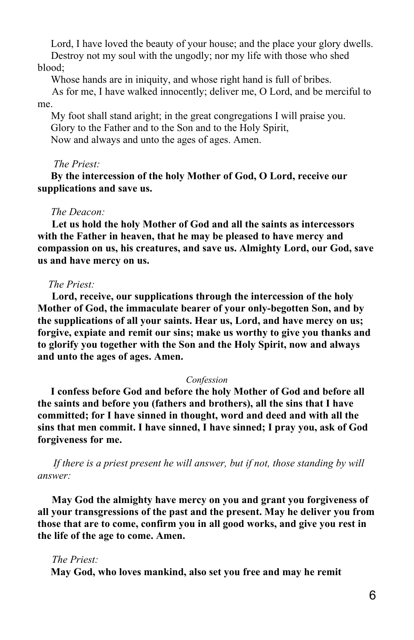Lord, I have loved the beauty of your house; and the place your glory dwells.

 Destroy not my soul with the ungodly; nor my life with those who shed blood;

Whose hands are in iniquity, and whose right hand is full of bribes.

As for me, I have walked innocently; deliver me, O Lord, and be merciful to me.

 My foot shall stand aright; in the great congregations I will praise you. Glory to the Father and to the Son and to the Holy Spirit, Now and always and unto the ages of ages. Amen.

### *The Priest:*

 **By the intercession of the holy Mother of God, O Lord, receive our supplications and save us.**

### *The Deacon:*

**Let us hold the holy Mother of God and all the saints as intercessors with the Father in heaven, that he may be pleased to have mercy and compassion on us, his creatures, and save us. Almighty Lord, our God, save us and have mercy on us.**

### *The Priest:*

**Lord, receive, our supplications through the intercession of the holy Mother of God, the immaculate bearer of your only-begotten Son, and by the supplications of all your saints. Hear us, Lord, and have mercy on us; forgive, expiate and remit our sins; make us worthy to give you thanks and to glorify you together with the Son and the Holy Spirit, now and always and unto the ages of ages. Amen.**

#### *Confession*

 **I confess before God and before the holy Mother of God and before all the saints and before you (fathers and brothers), all the sins that I have committed; for I have sinned in thought, word and deed and with all the sins that men commit. I have sinned, I have sinned; I pray you, ask of God forgiveness for me.**

 *If there is a priest present he will answer, but if not, those standing by will answer:*

**May God the almighty have mercy on you and grant you forgiveness of all your transgressions of the past and the present. May he deliver you from those that are to come, confirm you in all good works, and give you rest in the life of the age to come. Amen.**

### *The Priest:*

**May God, who loves mankind, also set you free and may he remit**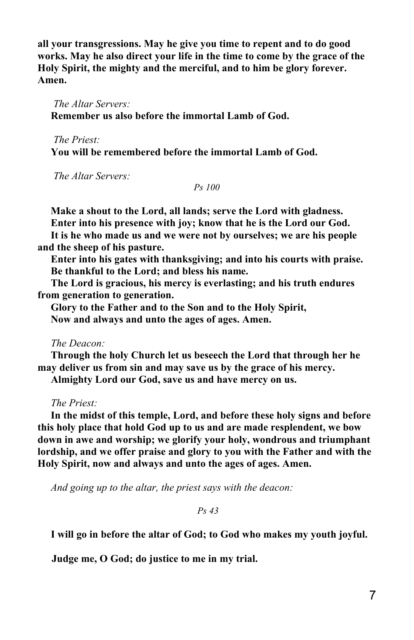**all your transgressions. May he give you time to repent and to do good works. May he also direct your life in the time to come by the grace of the Holy Spirit, the mighty and the merciful, and to him be glory forever. Amen.**

 *The Altar Servers:*  **Remember us also before the immortal Lamb of God.**

 *The Priest:*  **You will be remembered before the immortal Lamb of God.**

 *The Altar Servers:*

*Ps 100*

 **Make a shout to the Lord, all lands; serve the Lord with gladness. Enter into his presence with joy; know that he is the Lord our God. It is he who made us and we were not by ourselves; we are his people and the sheep of his pasture.**

 **Enter into his gates with thanksgiving; and into his courts with praise. Be thankful to the Lord; and bless his name.**

 **The Lord is gracious, his mercy is everlasting; and his truth endures from generation to generation.**

 **Glory to the Father and to the Son and to the Holy Spirit, Now and always and unto the ages of ages. Amen.**

# *The Deacon:*

 **Through the holy Church let us beseech the Lord that through her he may deliver us from sin and may save us by the grace of his mercy.**

 **Almighty Lord our God, save us and have mercy on us.**

*The Priest:*

 **In the midst of this temple, Lord, and before these holy signs and before this holy place that hold God up to us and are made resplendent, we bow down in awe and worship; we glorify your holy, wondrous and triumphant lordship, and we offer praise and glory to you with the Father and with the Holy Spirit, now and always and unto the ages of ages. Amen.**

 *And going up to the altar, the priest says with the deacon:*

 *Ps 43*

 **I will go in before the altar of God; to God who makes my youth joyful.**

**Judge me, O God; do justice to me in my trial.**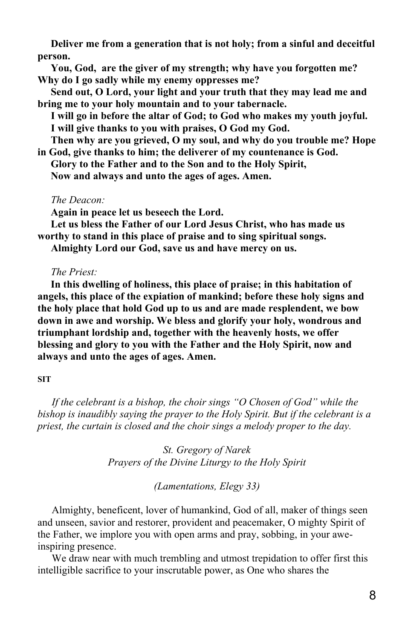**Deliver me from a generation that is not holy; from a sinful and deceitful person.**

 **You, God, are the giver of my strength; why have you forgotten me? Why do I go sadly while my enemy oppresses me?**

 **Send out, O Lord, your light and your truth that they may lead me and bring me to your holy mountain and to your tabernacle.**

 **I will go in before the altar of God; to God who makes my youth joyful. I will give thanks to you with praises, O God my God.**

 **Then why are you grieved, O my soul, and why do you trouble me? Hope in God, give thanks to him; the deliverer of my countenance is God.**

 **Glory to the Father and to the Son and to the Holy Spirit,**

 **Now and always and unto the ages of ages. Amen.**

 *The Deacon:*

**Again in peace let us beseech the Lord.**

 **Let us bless the Father of our Lord Jesus Christ, who has made us worthy to stand in this place of praise and to sing spiritual songs.**

 **Almighty Lord our God, save us and have mercy on us.**

### *The Priest:*

 **In this dwelling of holiness, this place of praise; in this habitation of angels, this place of the expiation of mankind; before these holy signs and the holy place that hold God up to us and are made resplendent, we bow down in awe and worship. We bless and glorify your holy, wondrous and triumphant lordship and, together with the heavenly hosts, we offer blessing and glory to you with the Father and the Holy Spirit, now and always and unto the ages of ages. Amen.**

### **SIT**

*If the celebrant is a bishop, the choir sings "O Chosen of God" while the bishop is inaudibly saying the prayer to the Holy Spirit. But if the celebrant is a priest, the curtain is closed and the choir sings a melody proper to the day.*

> *St. Gregory of Narek Prayers of the Divine Liturgy to the Holy Spirit*

> > *(Lamentations, Elegy 33)*

Almighty, beneficent, lover of humankind, God of all, maker of things seen and unseen, savior and restorer, provident and peacemaker, O mighty Spirit of the Father, we implore you with open arms and pray, sobbing, in your aweinspiring presence.

We draw near with much trembling and utmost trepidation to offer first this intelligible sacrifice to your inscrutable power, as One who shares the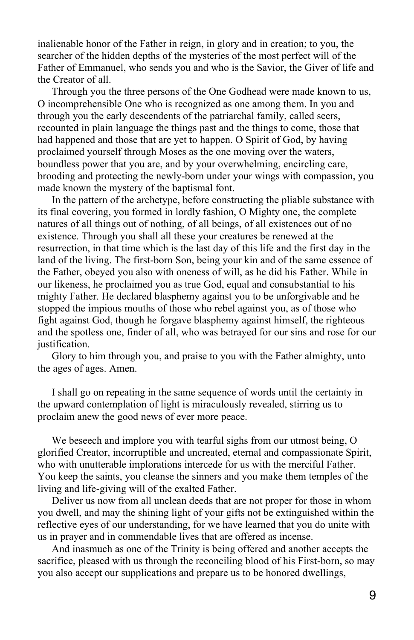inalienable honor of the Father in reign, in glory and in creation; to you, the searcher of the hidden depths of the mysteries of the most perfect will of the Father of Emmanuel, who sends you and who is the Savior, the Giver of life and the Creator of all.

Through you the three persons of the One Godhead were made known to us, O incomprehensible One who is recognized as one among them. In you and through you the early descendents of the patriarchal family, called seers, recounted in plain language the things past and the things to come, those that had happened and those that are yet to happen. O Spirit of God, by having proclaimed yourself through Moses as the one moving over the waters, boundless power that you are, and by your overwhelming, encircling care, brooding and protecting the newly-born under your wings with compassion, you made known the mystery of the baptismal font.

In the pattern of the archetype, before constructing the pliable substance with its final covering, you formed in lordly fashion, O Mighty one, the complete natures of all things out of nothing, of all beings, of all existences out of no existence. Through you shall all these your creatures be renewed at the resurrection, in that time which is the last day of this life and the first day in the land of the living. The first-born Son, being your kin and of the same essence of the Father, obeyed you also with oneness of will, as he did his Father. While in our likeness, he proclaimed you as true God, equal and consubstantial to his mighty Father. He declared blasphemy against you to be unforgivable and he stopped the impious mouths of those who rebel against you, as of those who fight against God, though he forgave blasphemy against himself, the righteous and the spotless one, finder of all, who was betrayed for our sins and rose for our justification.

Glory to him through you, and praise to you with the Father almighty, unto the ages of ages. Amen.

I shall go on repeating in the same sequence of words until the certainty in the upward contemplation of light is miraculously revealed, stirring us to proclaim anew the good news of ever more peace.

We beseech and implore you with tearful sighs from our utmost being, O glorified Creator, incorruptible and uncreated, eternal and compassionate Spirit, who with unutterable implorations intercede for us with the merciful Father. You keep the saints, you cleanse the sinners and you make them temples of the living and life-giving will of the exalted Father.

Deliver us now from all unclean deeds that are not proper for those in whom you dwell, and may the shining light of your gifts not be extinguished within the reflective eyes of our understanding, for we have learned that you do unite with us in prayer and in commendable lives that are offered as incense.

And inasmuch as one of the Trinity is being offered and another accepts the sacrifice, pleased with us through the reconciling blood of his First-born, so may you also accept our supplications and prepare us to be honored dwellings,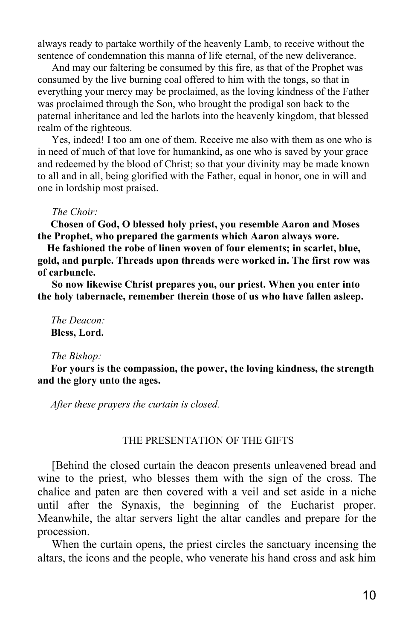always ready to partake worthily of the heavenly Lamb, to receive without the sentence of condemnation this manna of life eternal, of the new deliverance.

And may our faltering be consumed by this fire, as that of the Prophet was consumed by the live burning coal offered to him with the tongs, so that in everything your mercy may be proclaimed, as the loving kindness of the Father was proclaimed through the Son, who brought the prodigal son back to the paternal inheritance and led the harlots into the heavenly kingdom, that blessed realm of the righteous.

Yes, indeed! I too am one of them. Receive me also with them as one who is in need of much of that love for humankind, as one who is saved by your grace and redeemed by the blood of Christ; so that your divinity may be made known to all and in all, being glorified with the Father, equal in honor, one in will and one in lordship most praised.

#### *The Choir:*

 **Chosen of God, O blessed holy priest, you resemble Aaron and Moses the Prophet, who prepared the garments which Aaron always wore.**

**He fashioned the robe of linen woven of four elements; in scarlet, blue, gold, and purple. Threads upon threads were worked in. The first row was of carbuncle.**

**So now likewise Christ prepares you, our priest. When you enter into the holy tabernacle, remember therein those of us who have fallen asleep.**

 *The Deacon:* **Bless, Lord.**

#### *The Bishop:*

 **For yours is the compassion, the power, the loving kindness, the strength and the glory unto the ages.**

 *After these prayers the curtain is closed.*

### THE PRESENTATION OF THE GIFTS

[Behind the closed curtain the deacon presents unleavened bread and wine to the priest, who blesses them with the sign of the cross. The chalice and paten are then covered with a veil and set aside in a niche until after the Synaxis, the beginning of the Eucharist proper. Meanwhile, the altar servers light the altar candles and prepare for the procession.

When the curtain opens, the priest circles the sanctuary incensing the altars, the icons and the people, who venerate his hand cross and ask him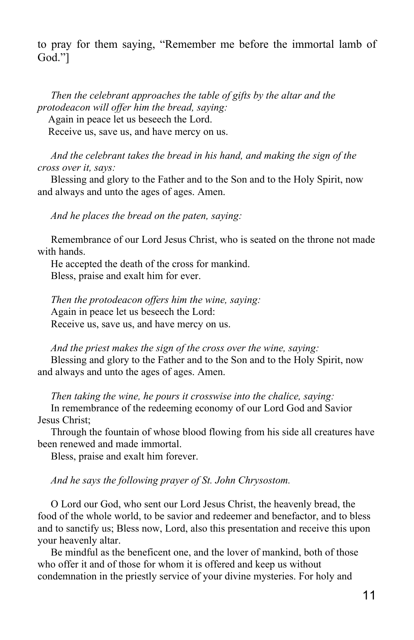to pray for them saying, "Remember me before the immortal lamb of God."]

 *Then the celebrant approaches the table of gifts by the altar and the protodeacon will offer him the bread, saying:*

Again in peace let us beseech the Lord.

Receive us, save us, and have mercy on us.

 *And the celebrant takes the bread in his hand, and making the sign of the cross over it, says:*

 Blessing and glory to the Father and to the Son and to the Holy Spirit, now and always and unto the ages of ages. Amen.

 *And he places the bread on the paten, saying:*

 Remembrance of our Lord Jesus Christ, who is seated on the throne not made with hands.

 He accepted the death of the cross for mankind. Bless, praise and exalt him for ever.

 *Then the protodeacon offers him the wine, saying:* Again in peace let us beseech the Lord: Receive us, save us, and have mercy on us.

 *And the priest makes the sign of the cross over the wine, saying:* Blessing and glory to the Father and to the Son and to the Holy Spirit, now and always and unto the ages of ages. Amen.

*Then taking the wine, he pours it crosswise into the chalice, saying:*

 In remembrance of the redeeming economy of our Lord God and Savior Jesus Christ;

 Through the fountain of whose blood flowing from his side all creatures have been renewed and made immortal.

Bless, praise and exalt him forever.

*And he says the following prayer of St. John Chrysostom.*

 O Lord our God, who sent our Lord Jesus Christ, the heavenly bread, the food of the whole world, to be savior and redeemer and benefactor, and to bless and to sanctify us; Bless now, Lord, also this presentation and receive this upon your heavenly altar.

 Be mindful as the beneficent one, and the lover of mankind, both of those who offer it and of those for whom it is offered and keep us without condemnation in the priestly service of your divine mysteries. For holy and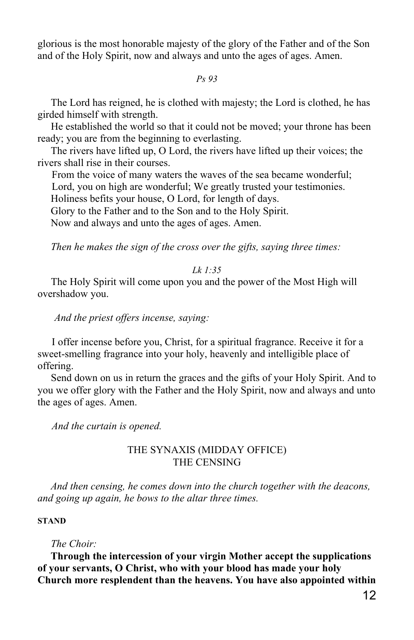glorious is the most honorable majesty of the glory of the Father and of the Son and of the Holy Spirit, now and always and unto the ages of ages. Amen.

*Ps 93*

 The Lord has reigned, he is clothed with majesty; the Lord is clothed, he has girded himself with strength.

 He established the world so that it could not be moved; your throne has been ready; you are from the beginning to everlasting.

 The rivers have lifted up, O Lord, the rivers have lifted up their voices; the rivers shall rise in their courses.

From the voice of many waters the waves of the sea became wonderful;

Lord, you on high are wonderful; We greatly trusted your testimonies.

Holiness befits your house, O Lord, for length of days.

Glory to the Father and to the Son and to the Holy Spirit.

Now and always and unto the ages of ages. Amen.

*Then he makes the sign of the cross over the gifts, saying three times:*

### *Lk 1:35*

 The Holy Spirit will come upon you and the power of the Most High will overshadow you.

 *And the priest offers incense, saying:*

I offer incense before you, Christ, for a spiritual fragrance. Receive it for a sweet-smelling fragrance into your holy, heavenly and intelligible place of offering.

 Send down on us in return the graces and the gifts of your Holy Spirit. And to you we offer glory with the Father and the Holy Spirit, now and always and unto the ages of ages. Amen.

*And the curtain is opened.*

# THE SYNAXIS (MIDDAY OFFICE) THE CENSING

 *And then censing, he comes down into the church together with the deacons, and going up again, he bows to the altar three times.*

# **STAND**

### *The Choir:*

 **Through the intercession of your virgin Mother accept the supplications of your servants, O Christ, who with your blood has made your holy Church more resplendent than the heavens. You have also appointed within**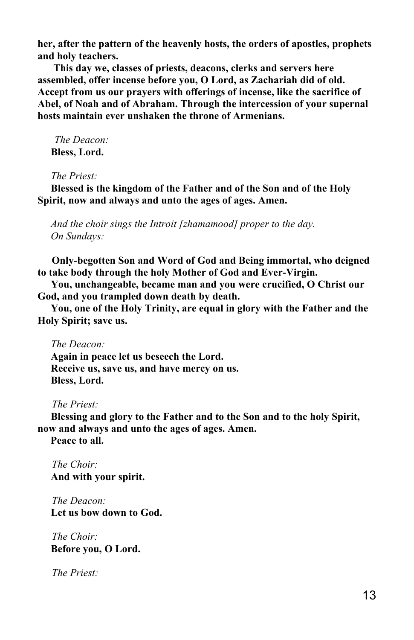**her, after the pattern of the heavenly hosts, the orders of apostles, prophets and holy teachers.**

 **This day we, classes of priests, deacons, clerks and servers here assembled, offer incense before you, O Lord, as Zachariah did of old. Accept from us our prayers with offerings of incense, like the sacrifice of Abel, of Noah and of Abraham. Through the intercession of your supernal hosts maintain ever unshaken the throne of Armenians.**

 *The Deacon:* **Bless, Lord.**

*The Priest:*

 **Blessed is the kingdom of the Father and of the Son and of the Holy Spirit, now and always and unto the ages of ages. Amen.**

 *And the choir sings the Introit [zhamamood] proper to the day. On Sundays:*

**Only-begotten Son and Word of God and Being immortal, who deigned to take body through the holy Mother of God and Ever-Virgin.**

 **You, unchangeable, became man and you were crucified, O Christ our God, and you trampled down death by death.**

 **You, one of the Holy Trinity, are equal in glory with the Father and the Holy Spirit; save us.**

 *The Deacon:*

 **Again in peace let us beseech the Lord. Receive us, save us, and have mercy on us. Bless, Lord.**

*The Priest:*

 **Blessing and glory to the Father and to the Son and to the holy Spirit, now and always and unto the ages of ages. Amen.**

 **Peace to all.**

*The Choir:*  **And with your spirit.**

*The Deacon:*  **Let us bow down to God.**

*The Choir:*  **Before you, O Lord.**

*The Priest:*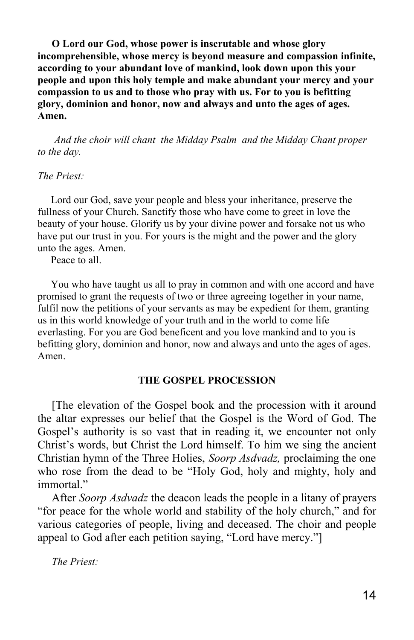**O Lord our God, whose power is inscrutable and whose glory incomprehensible, whose mercy is beyond measure and compassion infinite, according to your abundant love of mankind, look down upon this your people and upon this holy temple and make abundant your mercy and your compassion to us and to those who pray with us. For to you is befitting glory, dominion and honor, now and always and unto the ages of ages. Amen.**

 *And the choir will chant the Midday Psalm and the Midday Chant proper to the day.*

### *The Priest:*

 Lord our God, save your people and bless your inheritance, preserve the fullness of your Church. Sanctify those who have come to greet in love the beauty of your house. Glorify us by your divine power and forsake not us who have put our trust in you. For yours is the might and the power and the glory unto the ages. Amen.

Peace to all.

 You who have taught us all to pray in common and with one accord and have promised to grant the requests of two or three agreeing together in your name, fulfil now the petitions of your servants as may be expedient for them, granting us in this world knowledge of your truth and in the world to come life everlasting. For you are God beneficent and you love mankind and to you is befitting glory, dominion and honor, now and always and unto the ages of ages. Amen.

### **THE GOSPEL PROCESSION**

[The elevation of the Gospel book and the procession with it around the altar expresses our belief that the Gospel is the Word of God. The Gospel's authority is so vast that in reading it, we encounter not only Christ's words, but Christ the Lord himself. To him we sing the ancient Christian hymn of the Three Holies, *Soorp Asdvadz,* proclaiming the one who rose from the dead to be "Holy God, holy and mighty, holy and immortal"

After *Soorp Asdvadz* the deacon leads the people in a litany of prayers "for peace for the whole world and stability of the holy church," and for various categories of people, living and deceased. The choir and people appeal to God after each petition saying, "Lord have mercy."]

*The Priest:*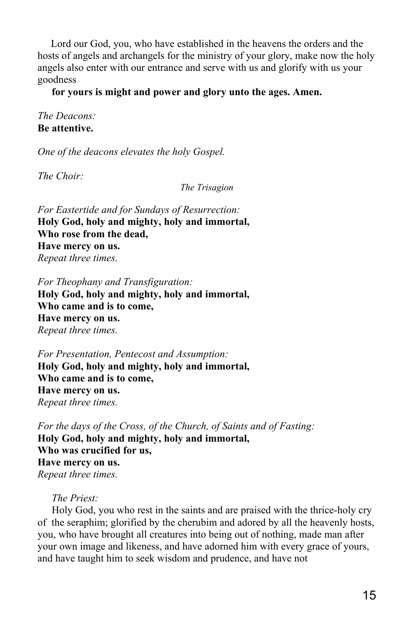Lord our God, you, who have established in the heavens the orders and the hosts of angels and archangels for the ministry of your glory, make now the holy angels also enter with our entrance and serve with us and glorify with us your goodness

**for yours is might and power and glory unto the ages. Amen.**

*The Deacons:* **Be attentive.**

*One of the deacons elevates the holy Gospel.*

*The Choir:*

*The Trisagion*

*For Eastertide and for Sundays of Resurrection:* **Holy God, holy and mighty, holy and immortal, Who rose from the dead, Have mercy on us.** *Repeat three times.*

*For Theophany and Transfiguration:* **Holy God, holy and mighty, holy and immortal, Who came and is to come, Have mercy on us.** *Repeat three times.*

*For Presentation, Pentecost and Assumption:* **Holy God, holy and mighty, holy and immortal, Who came and is to come, Have mercy on us.** *Repeat three times.*

*For the days of the Cross, of the Church, of Saints and of Fasting:* **Holy God, holy and mighty, holy and immortal, Who was crucified for us, Have mercy on us.** *Repeat three times.*

*The Priest:*

Holy God, you who rest in the saints and are praised with the thrice-holy cry of the seraphim; glorified by the cherubim and adored by all the heavenly hosts, you, who have brought all creatures into being out of nothing, made man after your own image and likeness, and have adorned him with every grace of yours, and have taught him to seek wisdom and prudence, and have not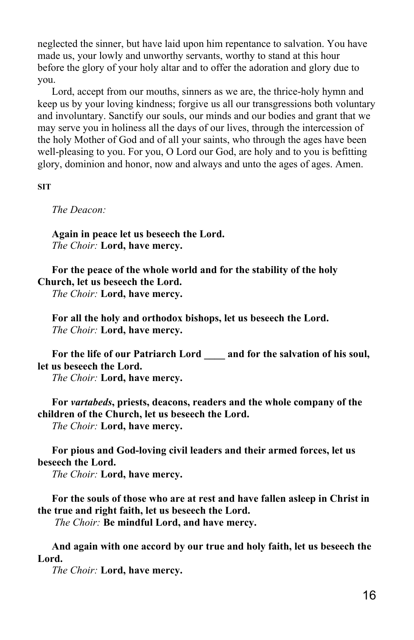neglected the sinner, but have laid upon him repentance to salvation. You have made us, your lowly and unworthy servants, worthy to stand at this hour before the glory of your holy altar and to offer the adoration and glory due to you.

Lord, accept from our mouths, sinners as we are, the thrice-holy hymn and keep us by your loving kindness; forgive us all our transgressions both voluntary and involuntary. Sanctify our souls, our minds and our bodies and grant that we may serve you in holiness all the days of our lives, through the intercession of the holy Mother of God and of all your saints, who through the ages have been well-pleasing to you. For you, O Lord our God, are holy and to you is befitting glory, dominion and honor, now and always and unto the ages of ages. Amen.

**SIT**

*The Deacon:*

**Again in peace let us beseech the Lord.** *The Choir:* **Lord, have mercy.**

**For the peace of the whole world and for the stability of the holy Church, let us beseech the Lord.**

*The Choir:* **Lord, have mercy.**

**For all the holy and orthodox bishops, let us beseech the Lord.** *The Choir:* **Lord, have mercy.**

**For the life of our Patriarch Lord \_\_\_\_ and for the salvation of his soul, let us beseech the Lord.**

*The Choir:* **Lord, have mercy.**

**For** *vartabeds***, priests, deacons, readers and the whole company of the children of the Church, let us beseech the Lord.** *The Choir:* **Lord, have mercy.**

**For pious and God-loving civil leaders and their armed forces, let us beseech the Lord.**

*The Choir:* **Lord, have mercy.**

**For the souls of those who are at rest and have fallen asleep in Christ in the true and right faith, let us beseech the Lord.**

 *The Choir:* **Be mindful Lord, and have mercy.**

**And again with one accord by our true and holy faith, let us beseech the Lord.**

*The Choir:* **Lord, have mercy.**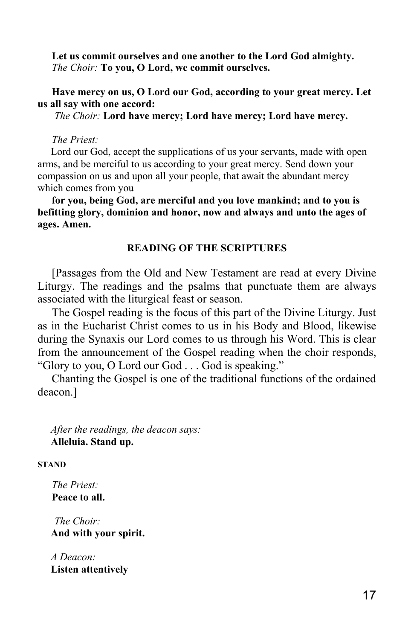**Let us commit ourselves and one another to the Lord God almighty.** *The Choir:* **To you, O Lord, we commit ourselves.**

**Have mercy on us, O Lord our God, according to your great mercy. Let us all say with one accord:**

 *The Choir:* **Lord have mercy; Lord have mercy; Lord have mercy.**

*The Priest:*

 Lord our God, accept the supplications of us your servants, made with open arms, and be merciful to us according to your great mercy. Send down your compassion on us and upon all your people, that await the abundant mercy which comes from you

**for you, being God, are merciful and you love mankind; and to you is befitting glory, dominion and honor, now and always and unto the ages of ages. Amen.**

### **READING OF THE SCRIPTURES**

[Passages from the Old and New Testament are read at every Divine Liturgy. The readings and the psalms that punctuate them are always associated with the liturgical feast or season.

The Gospel reading is the focus of this part of the Divine Liturgy. Just as in the Eucharist Christ comes to us in his Body and Blood, likewise during the Synaxis our Lord comes to us through his Word. This is clear from the announcement of the Gospel reading when the choir responds, "Glory to you, O Lord our God . . . God is speaking."

Chanting the Gospel is one of the traditional functions of the ordained deacon.]

 *After the readings, the deacon says:*  **Alleluia. Stand up.**

**STAND**

*The Priest:* **Peace to all.**

 *The Choir:*  **And with your spirit.**

 *A Deacon:*  **Listen attentively**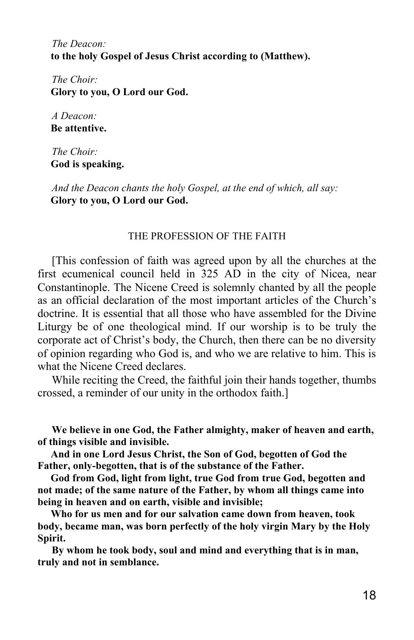*The Deacon:*  **to the holy Gospel of Jesus Christ according to (Matthew).**

*The Choir:*  **Glory to you, O Lord our God.**

*A Deacon:*  **Be attentive.**

*The Choir:*  **God is speaking.**

*And the Deacon chants the holy Gospel, at the end of which, all say:*  **Glory to you, O Lord our God.**

### THE PROFESSION OF THE FAITH

[This confession of faith was agreed upon by all the churches at the first ecumenical council held in 325 AD in the city of Nicea, near Constantinople. The Nicene Creed is solemnly chanted by all the people as an official declaration of the most important articles of the Church's doctrine. It is essential that all those who have assembled for the Divine Liturgy be of one theological mind. If our worship is to be truly the corporate act of Christ's body, the Church, then there can be no diversity of opinion regarding who God is, and who we are relative to him. This is what the Nicene Creed declares.

While reciting the Creed, the faithful join their hands together, thumbs crossed, a reminder of our unity in the orthodox faith.]

**We believe in one God, the Father almighty, maker of heaven and earth, of things visible and invisible.**

 **And in one Lord Jesus Christ, the Son of God, begotten of God the Father, only-begotten, that is of the substance of the Father.**

 **God from God, light from light, true God from true God, begotten and not made; of the same nature of the Father, by whom all things came into being in heaven and on earth, visible and invisible;**

 **Who for us men and for our salvation came down from heaven, took body, became man, was born perfectly of the holy virgin Mary by the Holy Spirit.**

**By whom he took body, soul and mind and everything that is in man, truly and not in semblance.**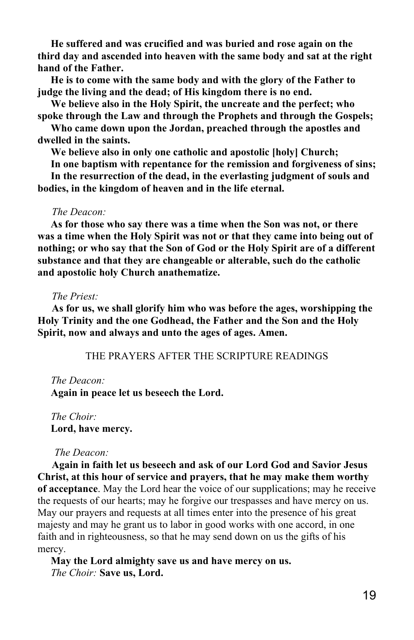**He suffered and was crucified and was buried and rose again on the third day and ascended into heaven with the same body and sat at the right hand of the Father.**

 **He is to come with the same body and with the glory of the Father to judge the living and the dead; of His kingdom there is no end.**

 **We believe also in the Holy Spirit, the uncreate and the perfect; who spoke through the Law and through the Prophets and through the Gospels;**

 **Who came down upon the Jordan, preached through the apostles and dwelled in the saints.**

 **We believe also in only one catholic and apostolic [holy] Church;**

 **In one baptism with repentance for the remission and forgiveness of sins;**

 **In the resurrection of the dead, in the everlasting judgment of souls and bodies, in the kingdom of heaven and in the life eternal.**

### *The Deacon:*

 **As for those who say there was a time when the Son was not, or there was a time when the Holy Spirit was not or that they came into being out of nothing; or who say that the Son of God or the Holy Spirit are of a different substance and that they are changeable or alterable, such do the catholic and apostolic holy Church anathematize.**

### *The Priest:*

**As for us, we shall glorify him who was before the ages, worshipping the Holy Trinity and the one Godhead, the Father and the Son and the Holy Spirit, now and always and unto the ages of ages. Amen.**

THE PRAYERS AFTER THE SCRIPTURE READINGS

#### *The Deacon:*

 **Again in peace let us beseech the Lord.**

 *The Choir:*  **Lord, have mercy.**

### *The Deacon:*

**Again in faith let us beseech and ask of our Lord God and Savior Jesus Christ, at this hour of service and prayers, that he may make them worthy of acceptance**. May the Lord hear the voice of our supplications; may he receive the requests of our hearts; may he forgive our trespasses and have mercy on us. May our prayers and requests at all times enter into the presence of his great majesty and may he grant us to labor in good works with one accord, in one faith and in righteousness, so that he may send down on us the gifts of his mercy.

 **May the Lord almighty save us and have mercy on us.**  *The Choir:* **Save us, Lord.**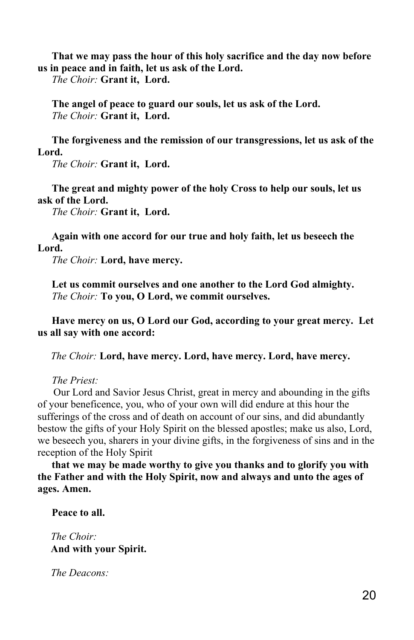**That we may pass the hour of this holy sacrifice and the day now before us in peace and in faith, let us ask of the Lord.**

*The Choir:* **Grant it, Lord.**

**The angel of peace to guard our souls, let us ask of the Lord.** *The Choir:* **Grant it, Lord.**

**The forgiveness and the remission of our transgressions, let us ask of the Lord.**

*The Choir:* **Grant it, Lord.**

**The great and mighty power of the holy Cross to help our souls, let us ask of the Lord.**

*The Choir:* **Grant it, Lord.**

**Again with one accord for our true and holy faith, let us beseech the Lord.**

*The Choir:* **Lord, have mercy.**

**Let us commit ourselves and one another to the Lord God almighty.** *The Choir:* **To you, O Lord, we commit ourselves.**

**Have mercy on us, O Lord our God, according to your great mercy. Let us all say with one accord:**

 *The Choir:* **Lord, have mercy. Lord, have mercy. Lord, have mercy.**

*The Priest:*

 Our Lord and Savior Jesus Christ, great in mercy and abounding in the gifts of your beneficence, you, who of your own will did endure at this hour the sufferings of the cross and of death on account of our sins, and did abundantly bestow the gifts of your Holy Spirit on the blessed apostles; make us also, Lord, we beseech you, sharers in your divine gifts, in the forgiveness of sins and in the reception of the Holy Spirit

**that we may be made worthy to give you thanks and to glorify you with the Father and with the Holy Spirit, now and always and unto the ages of ages. Amen.**

**Peace to all.**

 *The Choir:*  **And with your Spirit.**

 *The Deacons:*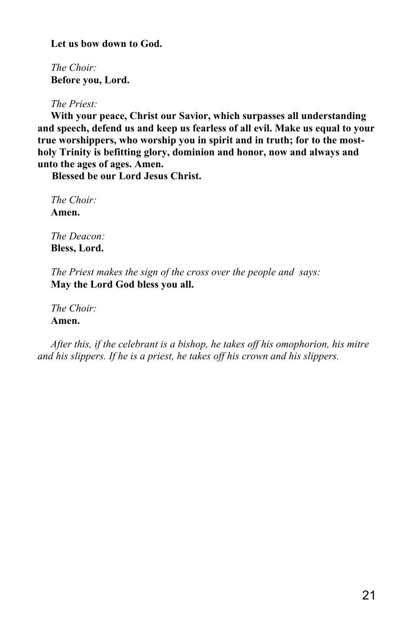**Let us bow down to God.**

 *The Choir:*  **Before you, Lord.**

 *The Priest:*

 **With your peace, Christ our Savior, which surpasses all understanding and speech, defend us and keep us fearless of all evil. Make us equal to your true worshippers, who worship you in spirit and in truth; for to the mostholy Trinity is befitting glory, dominion and honor, now and always and unto the ages of ages. Amen.**

**Blessed be our Lord Jesus Christ.**

 *The Choir:*  **Amen.**

 *The Deacon:*  **Bless, Lord.**

 *The Priest makes the sign of the cross over the people and says:*  **May the Lord God bless you all.**

 *The Choir:*  **Amen.**

 *After this, if the celebrant is a bishop, he takes off his omophorion, his mitre and his slippers. If he is a priest, he takes off his crown and his slippers.*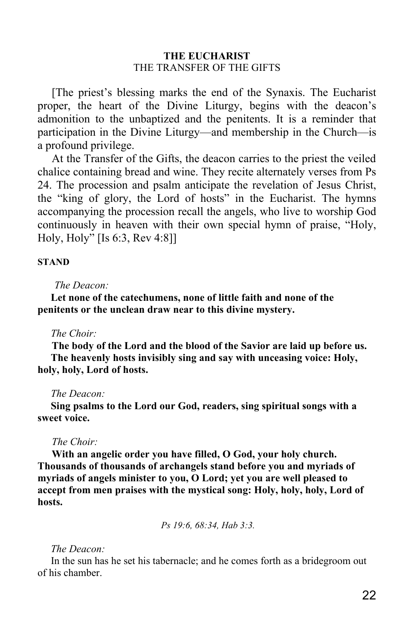# **THE EUCHARIST** THE TRANSFER OF THE GIFTS

[The priest's blessing marks the end of the Synaxis. The Eucharist proper, the heart of the Divine Liturgy, begins with the deacon's admonition to the unbaptized and the penitents. It is a reminder that participation in the Divine Liturgy—and membership in the Church—is a profound privilege.

At the Transfer of the Gifts, the deacon carries to the priest the veiled chalice containing bread and wine. They recite alternately verses from Ps 24. The procession and psalm anticipate the revelation of Jesus Christ, the "king of glory, the Lord of hosts" in the Eucharist. The hymns accompanying the procession recall the angels, who live to worship God continuously in heaven with their own special hymn of praise, "Holy, Holy, Holy" [Is 6:3, Rev 4:8]]

### **STAND**

### *The Deacon:*

 **Let none of the catechumens, none of little faith and none of the penitents or the unclean draw near to this divine mystery.**

### *The Choir:*

**The body of the Lord and the blood of the Savior are laid up before us. The heavenly hosts invisibly sing and say with unceasing voice: Holy, holy, holy, Lord of hosts.**

#### *The Deacon:*

 **Sing psalms to the Lord our God, readers, sing spiritual songs with a sweet voice.**

#### *The Choir:*

**With an angelic order you have filled, O God, your holy church. Thousands of thousands of archangels stand before you and myriads of myriads of angels minister to you, O Lord; yet you are well pleased to accept from men praises with the mystical song: Holy, holy, holy, Lord of hosts.**

 *Ps 19:6, 68:34, Hab 3:3.*

### *The Deacon:*

 In the sun has he set his tabernacle; and he comes forth as a bridegroom out of his chamber.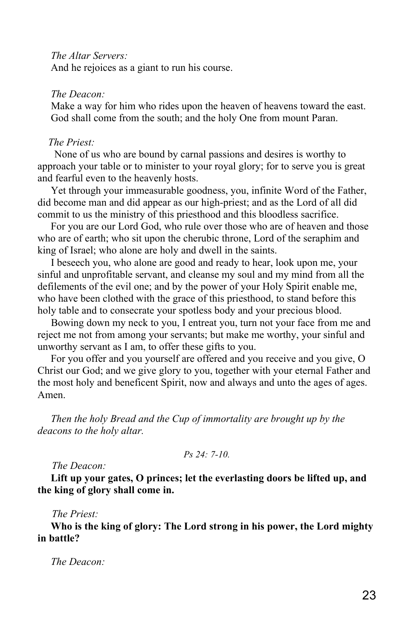*The Altar Servers:*

And he rejoices as a giant to run his course.

# *The Deacon:*

 Make a way for him who rides upon the heaven of heavens toward the east. God shall come from the south; and the holy One from mount Paran.

### *The Priest:*

 None of us who are bound by carnal passions and desires is worthy to approach your table or to minister to your royal glory; for to serve you is great and fearful even to the heavenly hosts.

 Yet through your immeasurable goodness, you, infinite Word of the Father, did become man and did appear as our high-priest; and as the Lord of all did commit to us the ministry of this priesthood and this bloodless sacrifice.

 For you are our Lord God, who rule over those who are of heaven and those who are of earth; who sit upon the cherubic throne, Lord of the seraphim and king of Israel; who alone are holy and dwell in the saints.

 I beseech you, who alone are good and ready to hear, look upon me, your sinful and unprofitable servant, and cleanse my soul and my mind from all the defilements of the evil one; and by the power of your Holy Spirit enable me, who have been clothed with the grace of this priesthood, to stand before this holy table and to consecrate your spotless body and your precious blood.

 Bowing down my neck to you, I entreat you, turn not your face from me and reject me not from among your servants; but make me worthy, your sinful and unworthy servant as I am, to offer these gifts to you.

 For you offer and you yourself are offered and you receive and you give, O Christ our God; and we give glory to you, together with your eternal Father and the most holy and beneficent Spirit, now and always and unto the ages of ages. Amen.

 *Then the holy Bread and the Cup of immortality are brought up by the deacons to the holy altar.*

*Ps 24: 7-10.*

*The Deacon:*

 **Lift up your gates, O princes; let the everlasting doors be lifted up, and the king of glory shall come in.**

### *The Priest:*

 **Who is the king of glory: The Lord strong in his power, the Lord mighty in battle?**

 *The Deacon:*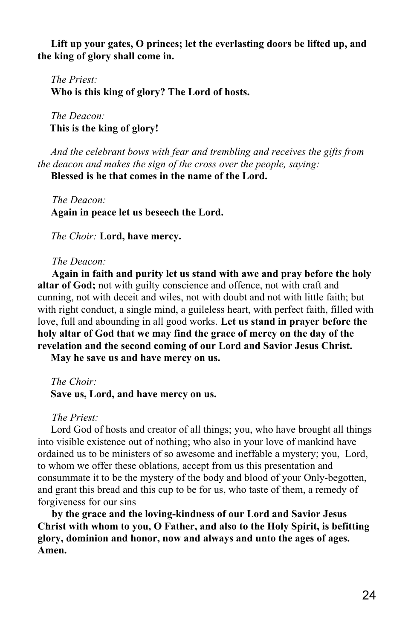**Lift up your gates, O princes; let the everlasting doors be lifted up, and the king of glory shall come in.**

 *The Priest:*  **Who is this king of glory? The Lord of hosts.**

 *The Deacon:*  **This is the king of glory!**

 *And the celebrant bows with fear and trembling and receives the gifts from the deacon and makes the sign of the cross over the people, saying:*

 **Blessed is he that comes in the name of the Lord.**

*The Deacon:*  **Again in peace let us beseech the Lord.**

 *The Choir:* **Lord, have mercy.**

### *The Deacon:*

**Again in faith and purity let us stand with awe and pray before the holy altar of God;** not with guilty conscience and offence, not with craft and cunning, not with deceit and wiles, not with doubt and not with little faith; but with right conduct, a single mind, a guileless heart, with perfect faith, filled with love, full and abounding in all good works. **Let us stand in prayer before the holy altar of God that we may find the grace of mercy on the day of the revelation and the second coming of our Lord and Savior Jesus Christ.**

 **May he save us and have mercy on us.**

 *The Choir:*  **Save us, Lord, and have mercy on us.**

*The Priest:*

 Lord God of hosts and creator of all things; you, who have brought all things into visible existence out of nothing; who also in your love of mankind have ordained us to be ministers of so awesome and ineffable a mystery; you, Lord, to whom we offer these oblations, accept from us this presentation and consummate it to be the mystery of the body and blood of your Only-begotten, and grant this bread and this cup to be for us, who taste of them, a remedy of forgiveness for our sins

**by the grace and the loving-kindness of our Lord and Savior Jesus Christ with whom to you, O Father, and also to the Holy Spirit, is befitting glory, dominion and honor, now and always and unto the ages of ages. Amen.**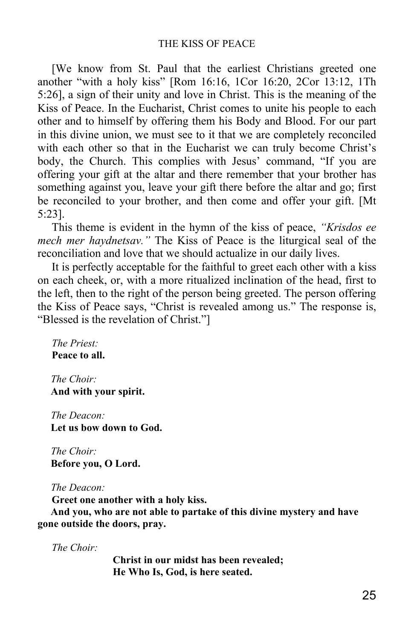[We know from St. Paul that the earliest Christians greeted one another "with a holy kiss" [Rom 16:16, 1Cor 16:20, 2Cor 13:12, 1Th 5:26], a sign of their unity and love in Christ. This is the meaning of the Kiss of Peace. In the Eucharist, Christ comes to unite his people to each other and to himself by offering them his Body and Blood. For our part in this divine union, we must see to it that we are completely reconciled with each other so that in the Eucharist we can truly become Christ's body, the Church. This complies with Jesus' command, "If you are offering your gift at the altar and there remember that your brother has something against you, leave your gift there before the altar and go; first be reconciled to your brother, and then come and offer your gift. [Mt 5:23].

This theme is evident in the hymn of the kiss of peace, *"Krisdos ee mech mer haydnetsav."* The Kiss of Peace is the liturgical seal of the reconciliation and love that we should actualize in our daily lives.

It is perfectly acceptable for the faithful to greet each other with a kiss on each cheek, or, with a more ritualized inclination of the head, first to the left, then to the right of the person being greeted. The person offering the Kiss of Peace says, "Christ is revealed among us." The response is, "Blessed is the revelation of Christ."]

*The Priest:* **Peace to all.**

 *The Choir:*  **And with your spirit.**

 *The Deacon:*  **Let us bow down to God.**

 *The Choir:*  **Before you, O Lord.**

 *The Deacon:*

**Greet one another with a holy kiss.**

 **And you, who are not able to partake of this divine mystery and have gone outside the doors, pray.**

*The Choir:*

**Christ in our midst has been revealed; He Who Is, God, is here seated.**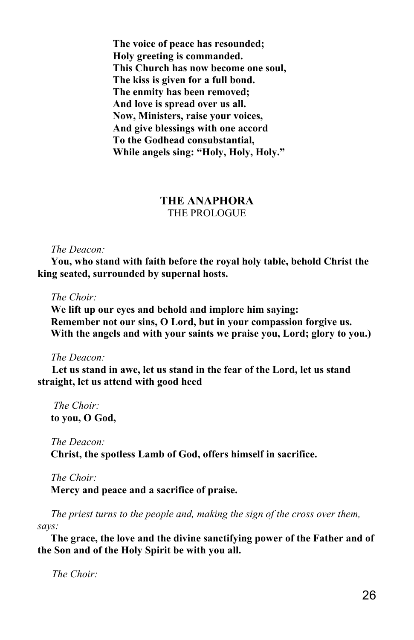**The voice of peace has resounded; Holy greeting is commanded. This Church has now become one soul, The kiss is given for a full bond. The enmity has been removed; And love is spread over us all. Now, Ministers, raise your voices, And give blessings with one accord To the Godhead consubstantial, While angels sing: "Holy, Holy, Holy."**

# **THE ANAPHORA** THE PROLOGUE

### *The Deacon:*

 **You, who stand with faith before the royal holy table, behold Christ the king seated, surrounded by supernal hosts.**

### *The Choir:*

 **We lift up our eyes and behold and implore him saying: Remember not our sins, O Lord, but in your compassion forgive us. With the angels and with your saints we praise you, Lord; glory to you.)**

### *The Deacon:*

**Let us stand in awe, let us stand in the fear of the Lord, let us stand straight, let us attend with good heed**

 *The Choir:*  **to you, O God,**

# *The Deacon:*  **Christ, the spotless Lamb of God, offers himself in sacrifice.**

#### *The Choir:*

 **Mercy and peace and a sacrifice of praise.**

*The priest turns to the people and, making the sign of the cross over them, says:*

 **The grace, the love and the divine sanctifying power of the Father and of the Son and of the Holy Spirit be with you all.**

*The Choir:*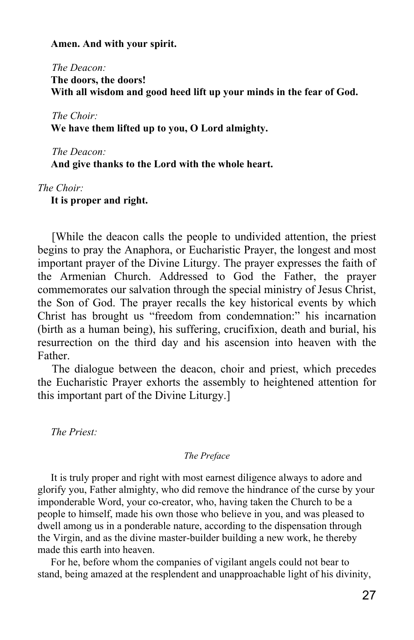### **Amen. And with your spirit.**

*The Deacon:*  **The doors, the doors! With all wisdom and good heed lift up your minds in the fear of God.**

*The Choir:*  **We have them lifted up to you, O Lord almighty.**

*The Deacon:*  **And give thanks to the Lord with the whole heart.**

*The Choir:*

 **It is proper and right.**

[While the deacon calls the people to undivided attention, the priest begins to pray the Anaphora, or Eucharistic Prayer, the longest and most important prayer of the Divine Liturgy. The prayer expresses the faith of the Armenian Church. Addressed to God the Father, the prayer commemorates our salvation through the special ministry of Jesus Christ, the Son of God. The prayer recalls the key historical events by which Christ has brought us "freedom from condemnation:" his incarnation (birth as a human being), his suffering, crucifixion, death and burial, his resurrection on the third day and his ascension into heaven with the Father.

The dialogue between the deacon, choir and priest, which precedes the Eucharistic Prayer exhorts the assembly to heightened attention for this important part of the Divine Liturgy.]

 *The Priest:*

### *The Preface*

 It is truly proper and right with most earnest diligence always to adore and glorify you, Father almighty, who did remove the hindrance of the curse by your imponderable Word, your co-creator, who, having taken the Church to be a people to himself, made his own those who believe in you, and was pleased to dwell among us in a ponderable nature, according to the dispensation through the Virgin, and as the divine master-builder building a new work, he thereby made this earth into heaven.

 For he, before whom the companies of vigilant angels could not bear to stand, being amazed at the resplendent and unapproachable light of his divinity,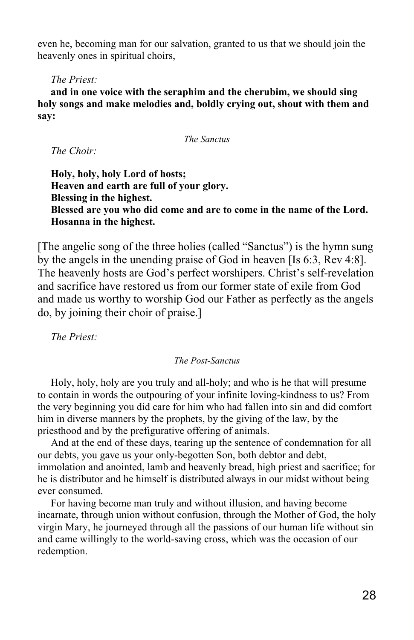even he, becoming man for our salvation, granted to us that we should join the heavenly ones in spiritual choirs,

# *The Priest:*

 **and in one voice with the seraphim and the cherubim, we should sing holy songs and make melodies and, boldly crying out, shout with them and say:**

*The Sanctus*

 *The Choir:*

 **Holy, holy, holy Lord of hosts; Heaven and earth are full of your glory. Blessing in the highest. Blessed are you who did come and are to come in the name of the Lord. Hosanna in the highest.**

[The angelic song of the three holies (called "Sanctus") is the hymn sung by the angels in the unending praise of God in heaven [Is 6:3, Rev 4:8]. The heavenly hosts are God's perfect worshipers. Christ's self-revelation and sacrifice have restored us from our former state of exile from God and made us worthy to worship God our Father as perfectly as the angels do, by joining their choir of praise.]

 *The Priest:*

### *The Post-Sanctus*

 Holy, holy, holy are you truly and all-holy; and who is he that will presume to contain in words the outpouring of your infinite loving-kindness to us? From the very beginning you did care for him who had fallen into sin and did comfort him in diverse manners by the prophets, by the giving of the law, by the priesthood and by the prefigurative offering of animals.

 And at the end of these days, tearing up the sentence of condemnation for all our debts, you gave us your only-begotten Son, both debtor and debt, immolation and anointed, lamb and heavenly bread, high priest and sacrifice; for he is distributor and he himself is distributed always in our midst without being ever consumed.

 For having become man truly and without illusion, and having become incarnate, through union without confusion, through the Mother of God, the holy virgin Mary, he journeyed through all the passions of our human life without sin and came willingly to the world-saving cross, which was the occasion of our redemption.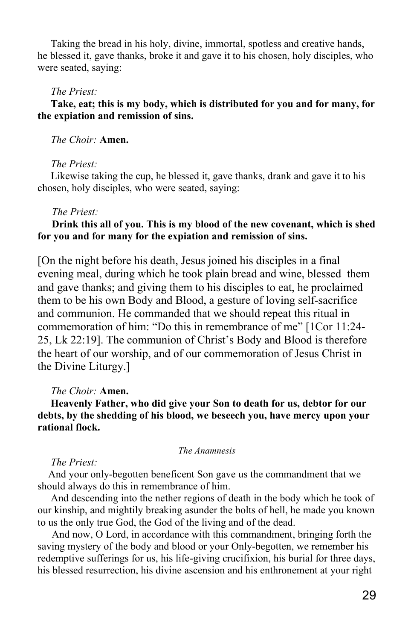Taking the bread in his holy, divine, immortal, spotless and creative hands, he blessed it, gave thanks, broke it and gave it to his chosen, holy disciples, who were seated, saying:

### *The Priest:*

# **Take, eat; this is my body, which is distributed for you and for many, for the expiation and remission of sins.**

# *The Choir:* **Amen.**

### *The Priest:*

 Likewise taking the cup, he blessed it, gave thanks, drank and gave it to his chosen, holy disciples, who were seated, saying:

### *The Priest:*

# **Drink this all of you. This is my blood of the new covenant, which is shed for you and for many for the expiation and remission of sins.**

[On the night before his death, Jesus joined his disciples in a final evening meal, during which he took plain bread and wine, blessed them and gave thanks; and giving them to his disciples to eat, he proclaimed them to be his own Body and Blood, a gesture of loving self-sacrifice and communion. He commanded that we should repeat this ritual in commemoration of him: "Do this in remembrance of me" [1Cor 11:24- 25, Lk 22:19]. The communion of Christ's Body and Blood is therefore the heart of our worship, and of our commemoration of Jesus Christ in the Divine Liturgy.]

# *The Choir:* **Amen.**

# **Heavenly Father, who did give your Son to death for us, debtor for our debts, by the shedding of his blood, we beseech you, have mercy upon your rational flock.**

#### *The Anamnesis*

### *The Priest:*

 And your only-begotten beneficent Son gave us the commandment that we should always do this in remembrance of him.

 And descending into the nether regions of death in the body which he took of our kinship, and mightily breaking asunder the bolts of hell, he made you known to us the only true God, the God of the living and of the dead.

And now, O Lord, in accordance with this commandment, bringing forth the saving mystery of the body and blood or your Only-begotten, we remember his redemptive sufferings for us, his life-giving crucifixion, his burial for three days, his blessed resurrection, his divine ascension and his enthronement at your right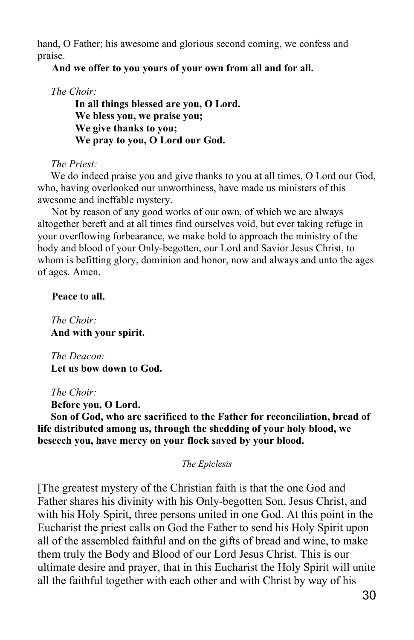hand, O Father; his awesome and glorious second coming, we confess and praise.

**And we offer to you yours of your own from all and for all.**

 *The Choir:*

 **In all things blessed are you, O Lord. We bless you, we praise you; We give thanks to you; We pray to you, O Lord our God.**

 *The Priest:*

 We do indeed praise you and give thanks to you at all times, O Lord our God, who, having overlooked our unworthiness, have made us ministers of this awesome and ineffable mystery.

Not by reason of any good works of our own, of which we are always altogether bereft and at all times find ourselves void, but ever taking refuge in your overflowing forbearance, we make bold to approach the ministry of the body and blood of your Only-begotten, our Lord and Savior Jesus Christ, to whom is befitting glory, dominion and honor, now and always and unto the ages of ages. Amen.

**Peace to all.**

 *The Choir:*  **And with your spirit.**

 *The Deacon:*  **Let us bow down to God.**

 *The Choir:*

 **Before you, O Lord.**

 **Son of God, who are sacrificed to the Father for reconciliation, bread of life distributed among us, through the shedding of your holy blood, we beseech you, have mercy on your flock saved by your blood.**

*The Epiclesis*

[The greatest mystery of the Christian faith is that the one God and Father shares his divinity with his Only-begotten Son, Jesus Christ, and with his Holy Spirit, three persons united in one God. At this point in the Eucharist the priest calls on God the Father to send his Holy Spirit upon all of the assembled faithful and on the gifts of bread and wine, to make them truly the Body and Blood of our Lord Jesus Christ. This is our ultimate desire and prayer, that in this Eucharist the Holy Spirit will unite all the faithful together with each other and with Christ by way of his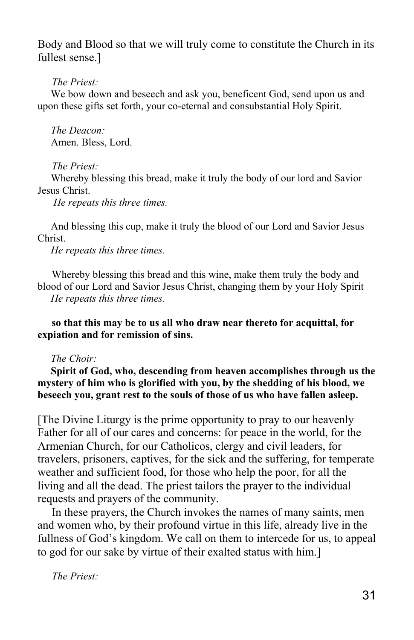Body and Blood so that we will truly come to constitute the Church in its fullest sense.]

*The Priest:*

 We bow down and beseech and ask you, beneficent God, send upon us and upon these gifts set forth, your co-eternal and consubstantial Holy Spirit.

 *The Deacon:* Amen. Bless, Lord.

*The Priest:*

 Whereby blessing this bread, make it truly the body of our lord and Savior Jesus Christ.

 *He repeats this three times.*

 And blessing this cup, make it truly the blood of our Lord and Savior Jesus Christ.

 *He repeats this three times.*

Whereby blessing this bread and this wine, make them truly the body and blood of our Lord and Savior Jesus Christ, changing them by your Holy Spirit  *He repeats this three times.*

**so that this may be to us all who draw near thereto for acquittal, for expiation and for remission of sins.**

# *The Choir:*

 **Spirit of God, who, descending from heaven accomplishes through us the mystery of him who is glorified with you, by the shedding of his blood, we beseech you, grant rest to the souls of those of us who have fallen asleep.**

[The Divine Liturgy is the prime opportunity to pray to our heavenly Father for all of our cares and concerns: for peace in the world, for the Armenian Church, for our Catholicos, clergy and civil leaders, for travelers, prisoners, captives, for the sick and the suffering, for temperate weather and sufficient food, for those who help the poor, for all the living and all the dead. The priest tailors the prayer to the individual requests and prayers of the community.

In these prayers, the Church invokes the names of many saints, men and women who, by their profound virtue in this life, already live in the fullness of God's kingdom. We call on them to intercede for us, to appeal to god for our sake by virtue of their exalted status with him.]

*The Priest:*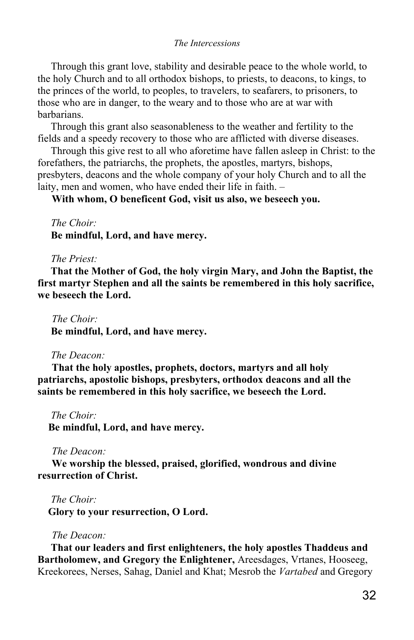### *The Intercessions*

 Through this grant love, stability and desirable peace to the whole world, to the holy Church and to all orthodox bishops, to priests, to deacons, to kings, to the princes of the world, to peoples, to travelers, to seafarers, to prisoners, to those who are in danger, to the weary and to those who are at war with barbarians.

 Through this grant also seasonableness to the weather and fertility to the fields and a speedy recovery to those who are afflicted with diverse diseases.

 Through this give rest to all who aforetime have fallen asleep in Christ: to the forefathers, the patriarchs, the prophets, the apostles, martyrs, bishops, presbyters, deacons and the whole company of your holy Church and to all the laity, men and women, who have ended their life in faith. –

**With whom, O beneficent God, visit us also, we beseech you.** 

 *The Choir:*  **Be mindful, Lord, and have mercy.**

### *The Priest:*

 **That the Mother of God, the holy virgin Mary, and John the Baptist, the first martyr Stephen and all the saints be remembered in this holy sacrifice, we beseech the Lord.**

*The Choir:*  **Be mindful, Lord, and have mercy.**

#### *The Deacon:*

**That the holy apostles, prophets, doctors, martyrs and all holy patriarchs, apostolic bishops, presbyters, orthodox deacons and all the saints be remembered in this holy sacrifice, we beseech the Lord.**

 *The Choir:*  **Be mindful, Lord, and have mercy.**

### *The Deacon:*

**We worship the blessed, praised, glorified, wondrous and divine resurrection of Christ.**

 *The Choir:*

 **Glory to your resurrection, O Lord.**

### *The Deacon:*

 **That our leaders and first enlighteners, the holy apostles Thaddeus and Bartholomew, and Gregory the Enlightener,** Areesdages, Vrtanes, Hooseeg, Kreekorees, Nerses, Sahag, Daniel and Khat; Mesrob the *Vartabed* and Gregory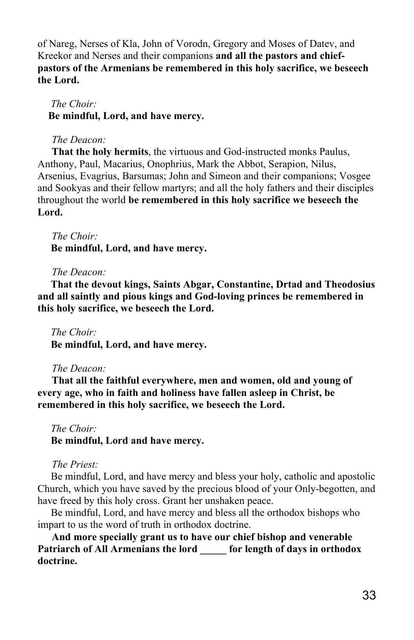of Nareg, Nerses of Kla, John of Vorodn, Gregory and Moses of Datev, and Kreekor and Nerses and their companions **and all the pastors and chiefpastors of the Armenians be remembered in this holy sacrifice, we beseech the Lord.**

 *The Choir:*  **Be mindful, Lord, and have mercy.**

# *The Deacon:*

**That the holy hermits**, the virtuous and God-instructed monks Paulus, Anthony, Paul, Macarius, Onophrius, Mark the Abbot, Serapion, Nilus, Arsenius, Evagrius, Barsumas; John and Simeon and their companions; Vosgee and Sookyas and their fellow martyrs; and all the holy fathers and their disciples throughout the world **be remembered in this holy sacrifice we beseech the Lord.**

*The Choir:*  **Be mindful, Lord, and have mercy.**

# *The Deacon:*

 **That the devout kings, Saints Abgar, Constantine, Drtad and Theodosius and all saintly and pious kings and God-loving princes be remembered in this holy sacrifice, we beseech the Lord.**

# *The Choir:*

 **Be mindful, Lord, and have mercy.**

# *The Deacon:*

**That all the faithful everywhere, men and women, old and young of every age, who in faith and holiness have fallen asleep in Christ, be remembered in this holy sacrifice, we beseech the Lord.**

# *The Choir:*

# **Be mindful, Lord and have mercy.**

# *The Priest:*

 Be mindful, Lord, and have mercy and bless your holy, catholic and apostolic Church, which you have saved by the precious blood of your Only-begotten, and have freed by this holy cross. Grant her unshaken peace.

 Be mindful, Lord, and have mercy and bless all the orthodox bishops who impart to us the word of truth in orthodox doctrine.

**And more specially grant us to have our chief bishop and venerable Patriarch of All Armenians the lord \_\_\_\_\_ for length of days in orthodox doctrine.**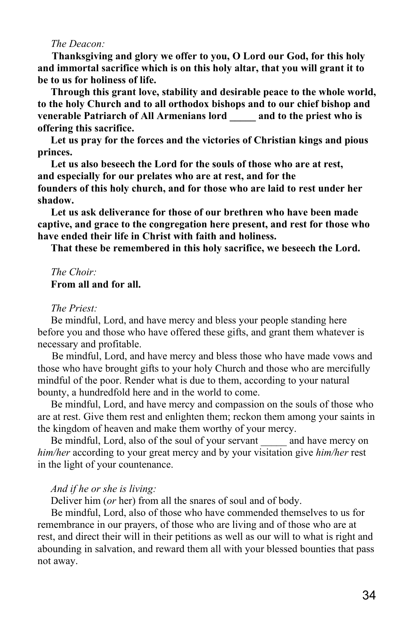#### *The Deacon:*

**Thanksgiving and glory we offer to you, O Lord our God, for this holy and immortal sacrifice which is on this holy altar, that you will grant it to be to us for holiness of life.**

 **Through this grant love, stability and desirable peace to the whole world, to the holy Church and to all orthodox bishops and to our chief bishop and venerable Patriarch of All Armenians lord \_\_\_\_\_ and to the priest who is offering this sacrifice.**

 **Let us pray for the forces and the victories of Christian kings and pious princes.**

 **Let us also beseech the Lord for the souls of those who are at rest, and especially for our prelates who are at rest, and for the founders of this holy church, and for those who are laid to rest under her shadow.**

 **Let us ask deliverance for those of our brethren who have been made captive, and grace to the congregation here present, and rest for those who have ended their life in Christ with faith and holiness.**

 **That these be remembered in this holy sacrifice, we beseech the Lord.**

# *The Choir:*  **From all and for all.**

### *The Priest:*

 Be mindful, Lord, and have mercy and bless your people standing here before you and those who have offered these gifts, and grant them whatever is necessary and profitable.

Be mindful, Lord, and have mercy and bless those who have made vows and those who have brought gifts to your holy Church and those who are mercifully mindful of the poor. Render what is due to them, according to your natural bounty, a hundredfold here and in the world to come.

 Be mindful, Lord, and have mercy and compassion on the souls of those who are at rest. Give them rest and enlighten them; reckon them among your saints in the kingdom of heaven and make them worthy of your mercy.

Be mindful, Lord, also of the soul of your servant and have mercy on *him/her* according to your great mercy and by your visitation give *him/her* rest in the light of your countenance.

### *And if he or she is living:*

Deliver him (*or* her) from all the snares of soul and of body.

 Be mindful, Lord, also of those who have commended themselves to us for remembrance in our prayers, of those who are living and of those who are at rest, and direct their will in their petitions as well as our will to what is right and abounding in salvation, and reward them all with your blessed bounties that pass not away.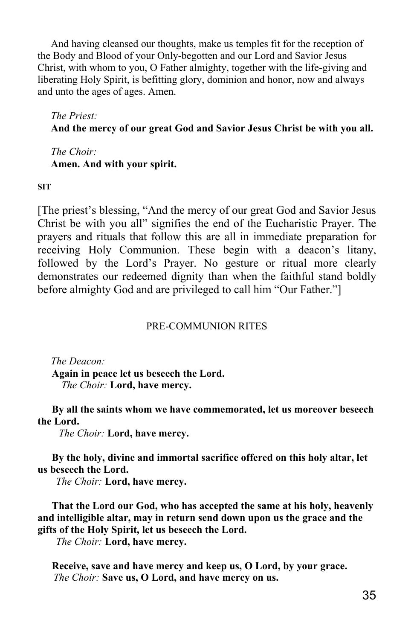And having cleansed our thoughts, make us temples fit for the reception of the Body and Blood of your Only-begotten and our Lord and Savior Jesus Christ, with whom to you, O Father almighty, together with the life-giving and liberating Holy Spirit, is befitting glory, dominion and honor, now and always and unto the ages of ages. Amen.

 *The Priest:*

# **And the mercy of our great God and Savior Jesus Christ be with you all.**

 *The Choir:*  **Amen. And with your spirit.**

**SIT**

[The priest's blessing, "And the mercy of our great God and Savior Jesus Christ be with you all" signifies the end of the Eucharistic Prayer. The prayers and rituals that follow this are all in immediate preparation for receiving Holy Communion. These begin with a deacon's litany, followed by the Lord's Prayer. No gesture or ritual more clearly demonstrates our redeemed dignity than when the faithful stand boldly before almighty God and are privileged to call him "Our Father."]

# PRE-COMMUNION RITES

 *The Deacon:* **Again in peace let us beseech the Lord.**  *The Choir:* **Lord, have mercy.**

**By all the saints whom we have commemorated, let us moreover beseech the Lord.**

 *The Choir:* **Lord, have mercy.**

**By the holy, divine and immortal sacrifice offered on this holy altar, let us beseech the Lord.**

 *The Choir:* **Lord, have mercy.**

**That the Lord our God, who has accepted the same at his holy, heavenly and intelligible altar, may in return send down upon us the grace and the gifts of the Holy Spirit, let us beseech the Lord.**

 *The Choir:* **Lord, have mercy.**

**Receive, save and have mercy and keep us, O Lord, by your grace.**  *The Choir:* **Save us, O Lord, and have mercy on us.**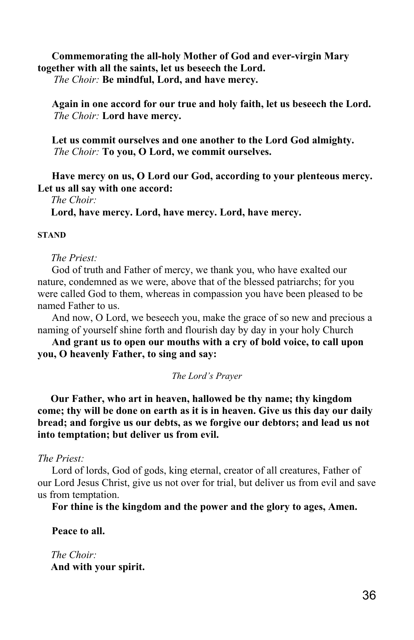# **Commemorating the all-holy Mother of God and ever-virgin Mary together with all the saints, let us beseech the Lord.**

 *The Choir:* **Be mindful, Lord, and have mercy.**

**Again in one accord for our true and holy faith, let us beseech the Lord.**  *The Choir:* **Lord have mercy.**

**Let us commit ourselves and one another to the Lord God almighty.**  *The Choir:* **To you, O Lord, we commit ourselves.**

**Have mercy on us, O Lord our God, according to your plenteous mercy. Let us all say with one accord:**

 *The Choir:*

 **Lord, have mercy. Lord, have mercy. Lord, have mercy.**

### **STAND**

### *The Priest:*

God of truth and Father of mercy, we thank you, who have exalted our nature, condemned as we were, above that of the blessed patriarchs; for you were called God to them, whereas in compassion you have been pleased to be named Father to us.

And now, O Lord, we beseech you, make the grace of so new and precious a naming of yourself shine forth and flourish day by day in your holy Church

**And grant us to open our mouths with a cry of bold voice, to call upon you, O heavenly Father, to sing and say:**

### *The Lord's Prayer*

 **Our Father, who art in heaven, hallowed be thy name; thy kingdom come; thy will be done on earth as it is in heaven. Give us this day our daily bread; and forgive us our debts, as we forgive our debtors; and lead us not into temptation; but deliver us from evil.**

### *The Priest:*

Lord of lords, God of gods, king eternal, creator of all creatures, Father of our Lord Jesus Christ, give us not over for trial, but deliver us from evil and save us from temptation.

**For thine is the kingdom and the power and the glory to ages, Amen.**

**Peace to all.**

 *The Choir:*  **And with your spirit.**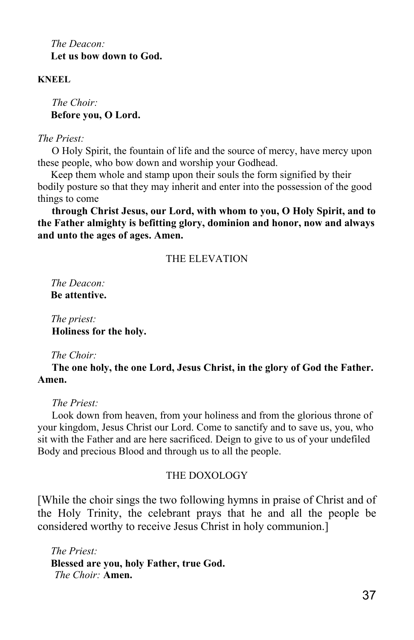*The Deacon:*  **Let us bow down to God.**

# **KNEEL**

*The Choir:*  **Before you, O Lord.**

### *The Priest:*

O Holy Spirit, the fountain of life and the source of mercy, have mercy upon these people, who bow down and worship your Godhead.

 Keep them whole and stamp upon their souls the form signified by their bodily posture so that they may inherit and enter into the possession of the good things to come

**through Christ Jesus, our Lord, with whom to you, O Holy Spirit, and to the Father almighty is befitting glory, dominion and honor, now and always and unto the ages of ages. Amen.**

# THE ELEVATION

 *The Deacon:*  **Be attentive.**

 *The priest:* **Holiness for the holy.**

### *The Choir:*

**The one holy, the one Lord, Jesus Christ, in the glory of God the Father. Amen.**

### *The Priest:*

Look down from heaven, from your holiness and from the glorious throne of your kingdom, Jesus Christ our Lord. Come to sanctify and to save us, you, who sit with the Father and are here sacrificed. Deign to give to us of your undefiled Body and precious Blood and through us to all the people.

# THE DOXOLOGY

[While the choir sings the two following hymns in praise of Christ and of the Holy Trinity, the celebrant prays that he and all the people be considered worthy to receive Jesus Christ in holy communion.]

 *The Priest:*  **Blessed are you, holy Father, true God.**  *The Choir:* **Amen.**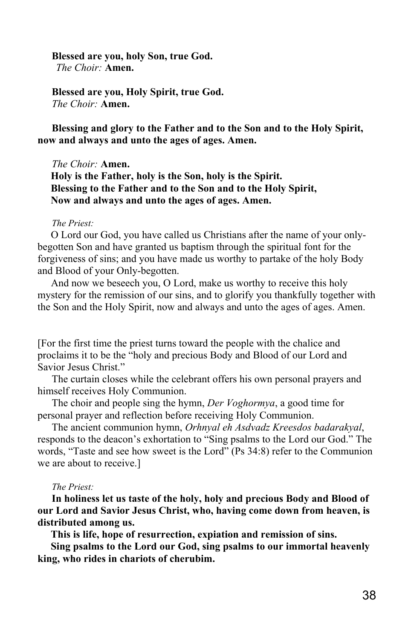#### **Blessed are you, holy Son, true God.**  *The Choir:* **Amen.**

**Blessed are you, Holy Spirit, true God.** *The Choir:* **Amen.**

**Blessing and glory to the Father and to the Son and to the Holy Spirit, now and always and unto the ages of ages. Amen.**

#### *The Choir:* **Amen.**

 **Holy is the Father, holy is the Son, holy is the Spirit. Blessing to the Father and to the Son and to the Holy Spirit, Now and always and unto the ages of ages. Amen.**

#### *The Priest:*

 O Lord our God, you have called us Christians after the name of your onlybegotten Son and have granted us baptism through the spiritual font for the forgiveness of sins; and you have made us worthy to partake of the holy Body and Blood of your Only-begotten.

 And now we beseech you, O Lord, make us worthy to receive this holy mystery for the remission of our sins, and to glorify you thankfully together with the Son and the Holy Spirit, now and always and unto the ages of ages. Amen.

[For the first time the priest turns toward the people with the chalice and proclaims it to be the "holy and precious Body and Blood of our Lord and Savior Jesus Christ."

The curtain closes while the celebrant offers his own personal prayers and himself receives Holy Communion.

The choir and people sing the hymn, *Der Voghormya*, a good time for personal prayer and reflection before receiving Holy Communion.

The ancient communion hymn, *Orhnyal eh Asdvadz Kreesdos badarakyal*, responds to the deacon's exhortation to "Sing psalms to the Lord our God." The words, "Taste and see how sweet is the Lord" (Ps 34:8) refer to the Communion we are about to receive.]

#### *The Priest:*

**In holiness let us taste of the holy, holy and precious Body and Blood of our Lord and Savior Jesus Christ, who, having come down from heaven, is distributed among us.**

 **This is life, hope of resurrection, expiation and remission of sins.**

 **Sing psalms to the Lord our God, sing psalms to our immortal heavenly king, who rides in chariots of cherubim.**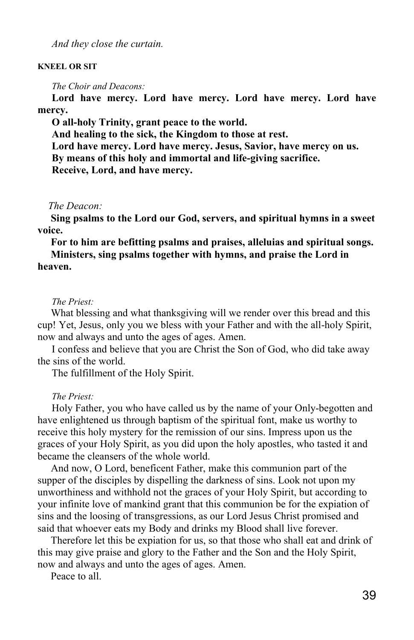*And they close the curtain.*

#### **KNEEL OR SIT**

*The Choir and Deacons:*

**Lord have mercy. Lord have mercy. Lord have mercy. Lord have mercy.**

**O all-holy Trinity, grant peace to the world.**

**And healing to the sick, the Kingdom to those at rest.**

**Lord have mercy. Lord have mercy. Jesus, Savior, have mercy on us.**

**By means of this holy and immortal and life-giving sacrifice.**

**Receive, Lord, and have mercy.** 

 *The Deacon:*

 **Sing psalms to the Lord our God, servers, and spiritual hymns in a sweet voice.**

# **For to him are befitting psalms and praises, alleluias and spiritual songs. Ministers, sing psalms together with hymns, and praise the Lord in heaven.**

#### *The Priest:*

 What blessing and what thanksgiving will we render over this bread and this cup! Yet, Jesus, only you we bless with your Father and with the all-holy Spirit, now and always and unto the ages of ages. Amen.

I confess and believe that you are Christ the Son of God, who did take away the sins of the world.

The fulfillment of the Holy Spirit.

### *The Priest:*

Holy Father, you who have called us by the name of your Only-begotten and have enlightened us through baptism of the spiritual font, make us worthy to receive this holy mystery for the remission of our sins. Impress upon us the graces of your Holy Spirit, as you did upon the holy apostles, who tasted it and became the cleansers of the whole world.

 And now, O Lord, beneficent Father, make this communion part of the supper of the disciples by dispelling the darkness of sins. Look not upon my unworthiness and withhold not the graces of your Holy Spirit, but according to your infinite love of mankind grant that this communion be for the expiation of sins and the loosing of transgressions, as our Lord Jesus Christ promised and said that whoever eats my Body and drinks my Blood shall live forever.

 Therefore let this be expiation for us, so that those who shall eat and drink of this may give praise and glory to the Father and the Son and the Holy Spirit, now and always and unto the ages of ages. Amen.

Peace to all.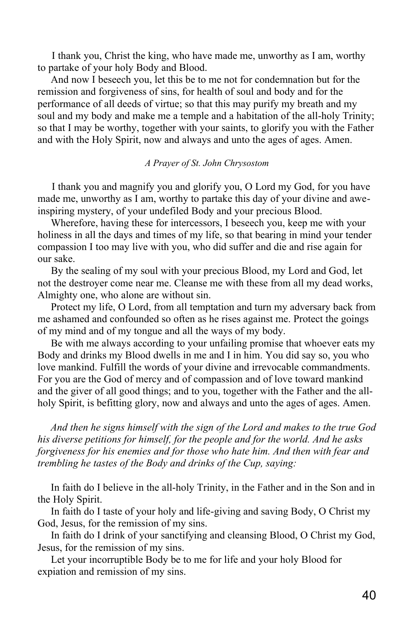I thank you, Christ the king, who have made me, unworthy as I am, worthy to partake of your holy Body and Blood.

 And now I beseech you, let this be to me not for condemnation but for the remission and forgiveness of sins, for health of soul and body and for the performance of all deeds of virtue; so that this may purify my breath and my soul and my body and make me a temple and a habitation of the all-holy Trinity; so that I may be worthy, together with your saints, to glorify you with the Father and with the Holy Spirit, now and always and unto the ages of ages. Amen.

### *A Prayer of St. John Chrysostom*

I thank you and magnify you and glorify you, O Lord my God, for you have made me, unworthy as I am, worthy to partake this day of your divine and aweinspiring mystery, of your undefiled Body and your precious Blood.

 Wherefore, having these for intercessors, I beseech you, keep me with your holiness in all the days and times of my life, so that bearing in mind your tender compassion I too may live with you, who did suffer and die and rise again for our sake.

 By the sealing of my soul with your precious Blood, my Lord and God, let not the destroyer come near me. Cleanse me with these from all my dead works, Almighty one, who alone are without sin.

 Protect my life, O Lord, from all temptation and turn my adversary back from me ashamed and confounded so often as he rises against me. Protect the goings of my mind and of my tongue and all the ways of my body.

 Be with me always according to your unfailing promise that whoever eats my Body and drinks my Blood dwells in me and I in him. You did say so, you who love mankind. Fulfill the words of your divine and irrevocable commandments. For you are the God of mercy and of compassion and of love toward mankind and the giver of all good things; and to you, together with the Father and the allholy Spirit, is befitting glory, now and always and unto the ages of ages. Amen.

 *And then he signs himself with the sign of the Lord and makes to the true God his diverse petitions for himself, for the people and for the world. And he asks forgiveness for his enemies and for those who hate him. And then with fear and trembling he tastes of the Body and drinks of the Cup, saying:*

 In faith do I believe in the all-holy Trinity, in the Father and in the Son and in the Holy Spirit.

 In faith do I taste of your holy and life-giving and saving Body, O Christ my God, Jesus, for the remission of my sins.

 In faith do I drink of your sanctifying and cleansing Blood, O Christ my God, Jesus, for the remission of my sins.

 Let your incorruptible Body be to me for life and your holy Blood for expiation and remission of my sins.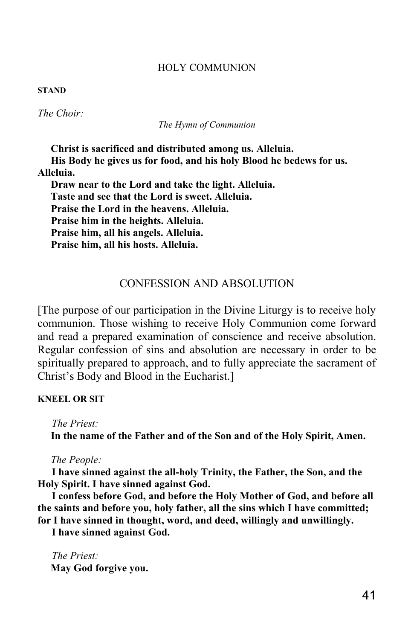## HOLY COMMUNION

#### **STAND**

*The Choir:*

*The Hymn of Communion*

 **Christ is sacrificed and distributed among us. Alleluia.**

 **His Body he gives us for food, and his holy Blood he bedews for us. Alleluia.**

 **Draw near to the Lord and take the light. Alleluia. Taste and see that the Lord is sweet. Alleluia. Praise the Lord in the heavens. Alleluia. Praise him in the heights. Alleluia. Praise him, all his angels. Alleluia. Praise him, all his hosts. Alleluia.**

# CONFESSION AND ABSOLUTION

[The purpose of our participation in the Divine Liturgy is to receive holy communion. Those wishing to receive Holy Communion come forward and read a prepared examination of conscience and receive absolution. Regular confession of sins and absolution are necessary in order to be spiritually prepared to approach, and to fully appreciate the sacrament of Christ's Body and Blood in the Eucharist.]

### **KNEEL OR SIT**

*The Priest:*

 **In the name of the Father and of the Son and of the Holy Spirit, Amen.**

 *The People:*

**I have sinned against the all-holy Trinity, the Father, the Son, and the Holy Spirit. I have sinned against God.**

**I confess before God, and before the Holy Mother of God, and before all the saints and before you, holy father, all the sins which I have committed; for I have sinned in thought, word, and deed, willingly and unwillingly.** 

**I have sinned against God.**

*The Priest:*  **May God forgive you.**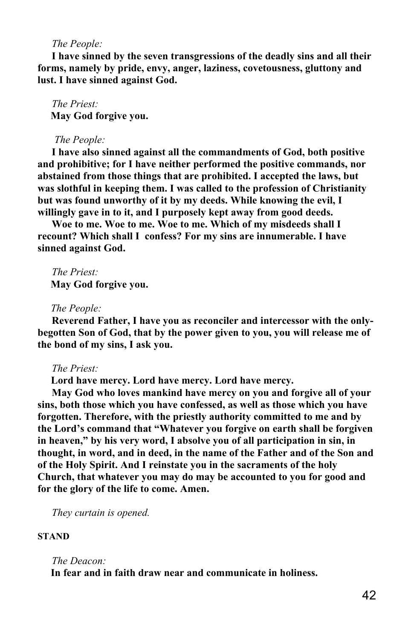### *The People:*

**I have sinned by the seven transgressions of the deadly sins and all their forms, namely by pride, envy, anger, laziness, covetousness, gluttony and lust. I have sinned against God.**

*The Priest:*  **May God forgive you.**

#### *The People:*

**I have also sinned against all the commandments of God, both positive and prohibitive; for I have neither performed the positive commands, nor abstained from those things that are prohibited. I accepted the laws, but was slothful in keeping them. I was called to the profession of Christianity but was found unworthy of it by my deeds. While knowing the evil, I willingly gave in to it, and I purposely kept away from good deeds.** 

**Woe to me. Woe to me. Woe to me. Which of my misdeeds shall I recount? Which shall I confess? For my sins are innumerable. I have sinned against God.**

*The Priest:*  **May God forgive you.**

### *The People:*

**Reverend Father, I have you as reconciler and intercessor with the onlybegotten Son of God, that by the power given to you, you will release me of the bond of my sins, I ask you.**

### *The Priest:*

 **Lord have mercy. Lord have mercy. Lord have mercy.**

**May God who loves mankind have mercy on you and forgive all of your sins, both those which you have confessed, as well as those which you have forgotten. Therefore, with the priestly authority committed to me and by the Lord's command that "Whatever you forgive on earth shall be forgiven in heaven," by his very word, I absolve you of all participation in sin, in thought, in word, and in deed, in the name of the Father and of the Son and of the Holy Spirit. And I reinstate you in the sacraments of the holy Church, that whatever you may do may be accounted to you for good and for the glory of the life to come. Amen.**

*They curtain is opened.*

# **STAND**

### *The Deacon:*

 **In fear and in faith draw near and communicate in holiness.**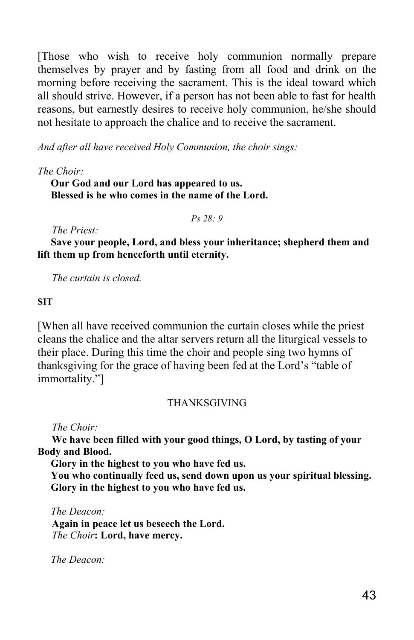[Those who wish to receive holy communion normally prepare themselves by prayer and by fasting from all food and drink on the morning before receiving the sacrament. This is the ideal toward which all should strive. However, if a person has not been able to fast for health reasons, but earnestly desires to receive holy communion, he/she should not hesitate to approach the chalice and to receive the sacrament.

*And after all have received Holy Communion, the choir sings:*

*The Choir:*

 **Our God and our Lord has appeared to us. Blessed is he who comes in the name of the Lord.**

*Ps 28: 9*

*The Priest:*

 **Save your people, Lord, and bless your inheritance; shepherd them and lift them up from henceforth until eternity.**

*The curtain is closed.*

# **SIT**

[When all have received communion the curtain closes while the priest cleans the chalice and the altar servers return all the liturgical vessels to their place. During this time the choir and people sing two hymns of thanksgiving for the grace of having been fed at the Lord's "table of immortality."]

# THANKSGIVING

*The Choir:*

**We have been filled with your good things, O Lord, by tasting of your Body and Blood.**

 **Glory in the highest to you who have fed us.**

 **You who continually feed us, send down upon us your spiritual blessing. Glory in the highest to you who have fed us.**

 *The Deacon:*

**Again in peace let us beseech the Lord.**  *The Choir***: Lord, have mercy.**

 *The Deacon:*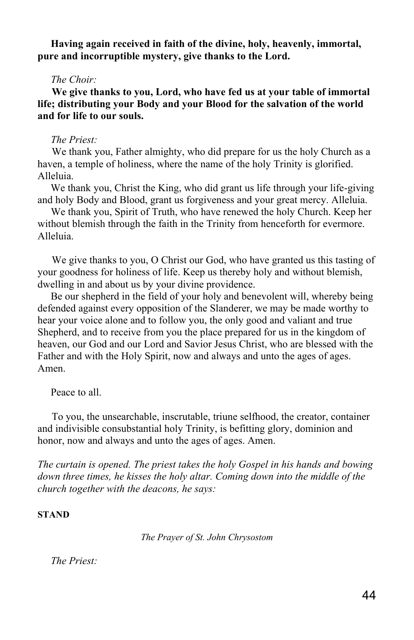**Having again received in faith of the divine, holy, heavenly, immortal, pure and incorruptible mystery, give thanks to the Lord.**

### *The Choir:*

**We give thanks to you, Lord, who have fed us at your table of immortal life; distributing your Body and your Blood for the salvation of the world and for life to our souls.**

### *The Priest:*

We thank you, Father almighty, who did prepare for us the holy Church as a haven, a temple of holiness, where the name of the holy Trinity is glorified. Alleluia.

 We thank you, Christ the King, who did grant us life through your life-giving and holy Body and Blood, grant us forgiveness and your great mercy. Alleluia.

 We thank you, Spirit of Truth, who have renewed the holy Church. Keep her without blemish through the faith in the Trinity from henceforth for evermore. Alleluia.

We give thanks to you, O Christ our God, who have granted us this tasting of your goodness for holiness of life. Keep us thereby holy and without blemish, dwelling in and about us by your divine providence.

 Be our shepherd in the field of your holy and benevolent will, whereby being defended against every opposition of the Slanderer, we may be made worthy to hear your voice alone and to follow you, the only good and valiant and true Shepherd, and to receive from you the place prepared for us in the kingdom of heaven, our God and our Lord and Savior Jesus Christ, who are blessed with the Father and with the Holy Spirit, now and always and unto the ages of ages. Amen.

Peace to all.

To you, the unsearchable, inscrutable, triune selfhood, the creator, container and indivisible consubstantial holy Trinity, is befitting glory, dominion and honor, now and always and unto the ages of ages. Amen.

*The curtain is opened. The priest takes the holy Gospel in his hands and bowing*  down three times, he kisses the holy altar. Coming down into the middle of the *church together with the deacons, he says:*

#### **STAND**

*The Prayer of St. John Chrysostom*

 *The Priest:*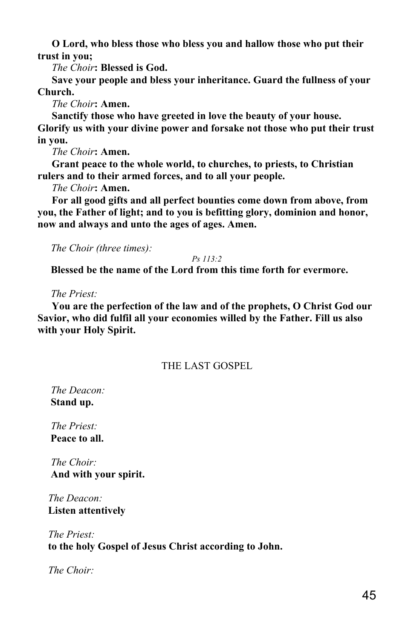**O Lord, who bless those who bless you and hallow those who put their trust in you;**

*The Choir***: Blessed is God.**

**Save your people and bless your inheritance. Guard the fullness of your Church.**

*The Choir***: Amen.**

**Sanctify those who have greeted in love the beauty of your house.** 

**Glorify us with your divine power and forsake not those who put their trust in you.**

*The Choir***: Amen.**

**Grant peace to the whole world, to churches, to priests, to Christian rulers and to their armed forces, and to all your people.**

*The Choir***: Amen.**

**For all good gifts and all perfect bounties come down from above, from you, the Father of light; and to you is befitting glory, dominion and honor, now and always and unto the ages of ages. Amen.**

 *The Choir (three times):*

*Ps 113:2*

 **Blessed be the name of the Lord from this time forth for evermore.**

 *The Priest:*

**You are the perfection of the law and of the prophets, O Christ God our Savior, who did fulfil all your economies willed by the Father. Fill us also with your Holy Spirit.**

# THE LAST GOSPEL

 *The Deacon:*  **Stand up.**

 *The Priest:*  **Peace to all.**

 *The Choir:*  **And with your spirit.**

 *The Deacon:*  **Listen attentively**

 *The Priest:*  **to the holy Gospel of Jesus Christ according to John.**

 *The Choir:*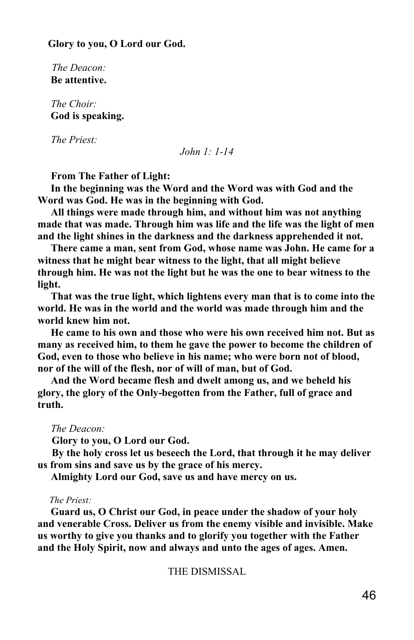**Glory to you, O Lord our God.**

*The Deacon:*  **Be attentive.**

 *The Choir:*  **God is speaking.**

 *The Priest:* 

*John 1: 1-14*

 **From The Father of Light:**

 **In the beginning was the Word and the Word was with God and the Word was God. He was in the beginning with God.**

 **All things were made through him, and without him was not anything made that was made. Through him was life and the life was the light of men and the light shines in the darkness and the darkness apprehended it not.**

 **There came a man, sent from God, whose name was John. He came for a witness that he might bear witness to the light, that all might believe through him. He was not the light but he was the one to bear witness to the light.**

 **That was the true light, which lightens every man that is to come into the world. He was in the world and the world was made through him and the world knew him not.**

 **He came to his own and those who were his own received him not. But as many as received him, to them he gave the power to become the children of God, even to those who believe in his name; who were born not of blood, nor of the will of the flesh, nor of will of man, but of God.**

 **And the Word became flesh and dwelt among us, and we beheld his glory, the glory of the Only-begotten from the Father, full of grace and truth.**

### *The Deacon:*

**Glory to you, O Lord our God.**

**By the holy cross let us beseech the Lord, that through it he may deliver us from sins and save us by the grace of his mercy.**

 **Almighty Lord our God, save us and have mercy on us.**

#### *The Priest:*

 **Guard us, O Christ our God, in peace under the shadow of your holy and venerable Cross. Deliver us from the enemy visible and invisible. Make us worthy to give you thanks and to glorify you together with the Father and the Holy Spirit, now and always and unto the ages of ages. Amen.**

THE DISMISSAL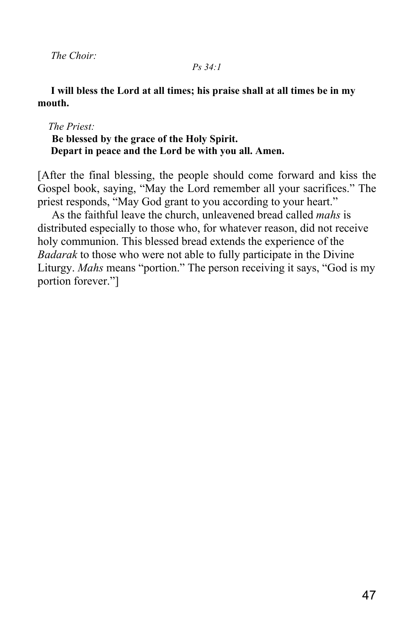*The Choir:*

# *Ps 34:1*

# **I will bless the Lord at all times; his praise shall at all times be in my mouth.**

# *The Priest:* **Be blessed by the grace of the Holy Spirit. Depart in peace and the Lord be with you all. Amen.**

[After the final blessing, the people should come forward and kiss the Gospel book, saying, "May the Lord remember all your sacrifices." The priest responds, "May God grant to you according to your heart."

As the faithful leave the church, unleavened bread called *mahs* is distributed especially to those who, for whatever reason, did not receive holy communion. This blessed bread extends the experience of the *Badarak* to those who were not able to fully participate in the Divine Liturgy. *Mahs* means "portion." The person receiving it says, "God is my portion forever."]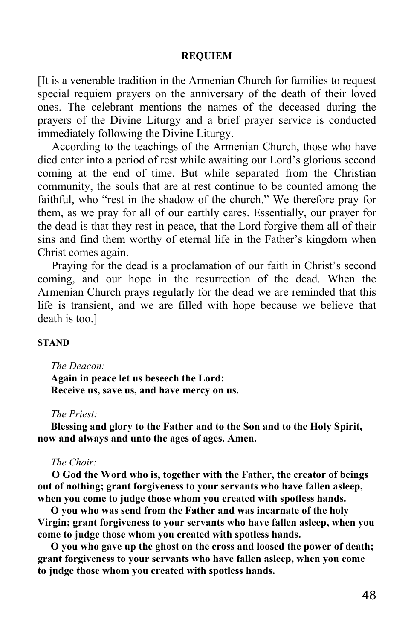# **REQUIEM**

[It is a venerable tradition in the Armenian Church for families to request special requiem prayers on the anniversary of the death of their loved ones. The celebrant mentions the names of the deceased during the prayers of the Divine Liturgy and a brief prayer service is conducted immediately following the Divine Liturgy.

According to the teachings of the Armenian Church, those who have died enter into a period of rest while awaiting our Lord's glorious second coming at the end of time. But while separated from the Christian community, the souls that are at rest continue to be counted among the faithful, who "rest in the shadow of the church." We therefore pray for them, as we pray for all of our earthly cares. Essentially, our prayer for the dead is that they rest in peace, that the Lord forgive them all of their sins and find them worthy of eternal life in the Father's kingdom when Christ comes again.

Praying for the dead is a proclamation of our faith in Christ's second coming, and our hope in the resurrection of the dead. When the Armenian Church prays regularly for the dead we are reminded that this life is transient, and we are filled with hope because we believe that death is too.]

### **STAND**

### *The Deacon:*

 **Again in peace let us beseech the Lord: Receive us, save us, and have mercy on us.**

### *The Priest:*

 **Blessing and glory to the Father and to the Son and to the Holy Spirit, now and always and unto the ages of ages. Amen.**

### *The Choir:*

**O God the Word who is, together with the Father, the creator of beings out of nothing; grant forgiveness to your servants who have fallen asleep, when you come to judge those whom you created with spotless hands.**

 **O you who was send from the Father and was incarnate of the holy Virgin; grant forgiveness to your servants who have fallen asleep, when you come to judge those whom you created with spotless hands.**

 **O you who gave up the ghost on the cross and loosed the power of death; grant forgiveness to your servants who have fallen asleep, when you come to judge those whom you created with spotless hands.**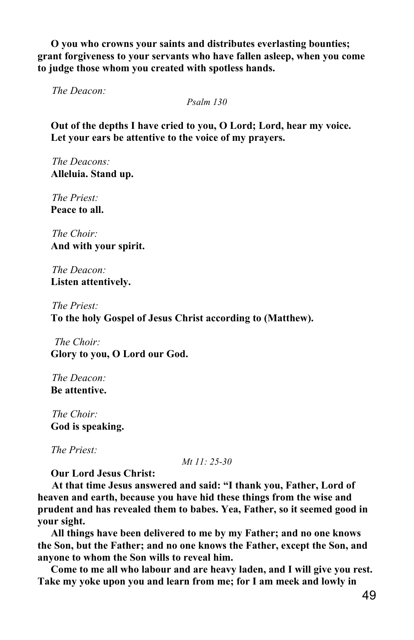**O you who crowns your saints and distributes everlasting bounties; grant forgiveness to your servants who have fallen asleep, when you come to judge those whom you created with spotless hands.**

*The Deacon:*

*Psalm 130*

 **Out of the depths I have cried to you, O Lord; Lord, hear my voice. Let your ears be attentive to the voice of my prayers.**

*The Deacons:*  **Alleluia. Stand up.**

*The Priest:*  **Peace to all.**

*The Choir:*  **And with your spirit.**

*The Deacon:*  **Listen attentively.**

*The Priest:*  **To the holy Gospel of Jesus Christ according to (Matthew).**

 *The Choir:*  **Glory to you, O Lord our God.**

*The Deacon:*  **Be attentive.**

*The Choir:*  **God is speaking.**

 *The Priest:*

*Mt 11: 25-30*

 **Our Lord Jesus Christ:**

**At that time Jesus answered and said: "I thank you, Father, Lord of heaven and earth, because you have hid these things from the wise and prudent and has revealed them to babes. Yea, Father, so it seemed good in your sight.**

 **All things have been delivered to me by my Father; and no one knows the Son, but the Father; and no one knows the Father, except the Son, and anyone to whom the Son wills to reveal him.**

 **Come to me all who labour and are heavy laden, and I will give you rest. Take my yoke upon you and learn from me; for I am meek and lowly in**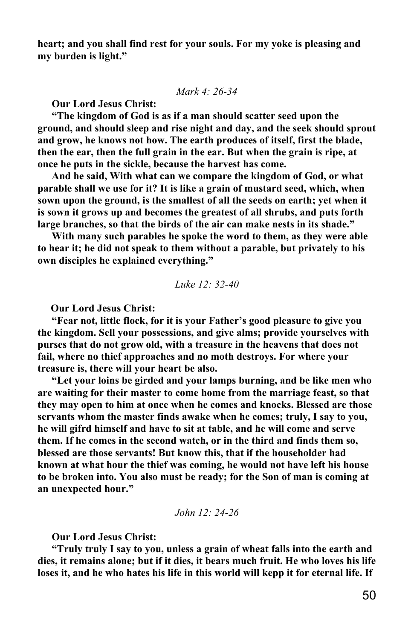**heart; and you shall find rest for your souls. For my yoke is pleasing and my burden is light."**

*Mark 4: 26-34*

**Our Lord Jesus Christ:**

**"The kingdom of God is as if a man should scatter seed upon the ground, and should sleep and rise night and day, and the seek should sprout and grow, he knows not how. The earth produces of itself, first the blade, then the ear, then the full grain in the ear. But when the grain is ripe, at once he puts in the sickle, because the harvest has come.**

**And he said, With what can we compare the kingdom of God, or what parable shall we use for it? It is like a grain of mustard seed, which, when sown upon the ground, is the smallest of all the seeds on earth; yet when it is sown it grows up and becomes the greatest of all shrubs, and puts forth large branches, so that the birds of the air can make nests in its shade."**

**With many such parables he spoke the word to them, as they were able to hear it; he did not speak to them without a parable, but privately to his own disciples he explained everything."**

*Luke 12: 32-40*

 **Our Lord Jesus Christ:**

**"Fear not, little flock, for it is your Father's good pleasure to give you the kingdom. Sell your possessions, and give alms; provide yourselves with purses that do not grow old, with a treasure in the heavens that does not fail, where no thief approaches and no moth destroys. For where your treasure is, there will your heart be also.**

**"Let your loins be girded and your lamps burning, and be like men who are waiting for their master to come home from the marriage feast, so that they may open to him at once when he comes and knocks. Blessed are those servants whom the master finds awake when he comes; truly, I say to you, he will gifrd himself and have to sit at table, and he will come and serve them. If he comes in the second watch, or in the third and finds them so, blessed are those servants! But know this, that if the householder had known at what hour the thief was coming, he would not have left his house to be broken into. You also must be ready; for the Son of man is coming at an unexpected hour."**

*John 12: 24-26*

**Our Lord Jesus Christ:**

**"Truly truly I say to you, unless a grain of wheat falls into the earth and dies, it remains alone; but if it dies, it bears much fruit. He who loves his life loses it, and he who hates his life in this world will kepp it for eternal life. If**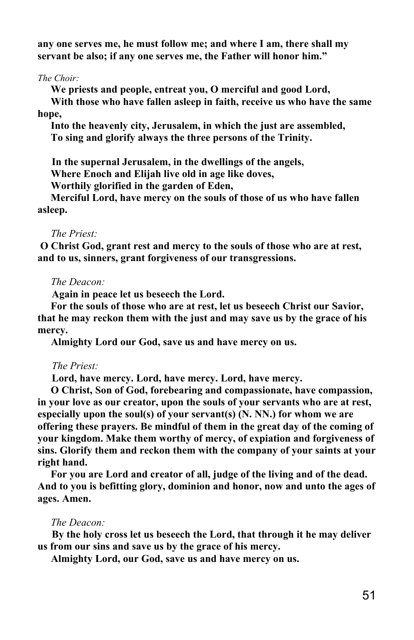**any one serves me, he must follow me; and where I am, there shall my servant be also; if any one serves me, the Father will honor him."**

*The Choir:*

 **We priests and people, entreat you, O merciful and good Lord, With those who have fallen asleep in faith, receive us who have the same hope,**

 **Into the heavenly city, Jerusalem, in which the just are assembled, To sing and glorify always the three persons of the Trinity.**

**In the supernal Jerusalem, in the dwellings of the angels,**

 **Where Enoch and Elijah live old in age like doves,**

 **Worthily glorified in the garden of Eden,**

 **Merciful Lord, have mercy on the souls of those of us who have fallen asleep.**

### *The Priest:*

 **O Christ God, grant rest and mercy to the souls of those who are at rest, and to us, sinners, grant forgiveness of our transgressions.**

### *The Deacon:*

**Again in peace let us beseech the Lord.**

 **For the souls of those who are at rest, let us beseech Christ our Savior, that he may reckon them with the just and may save us by the grace of his mercy.**

 **Almighty Lord our God, save us and have mercy on us.**

### *The Priest:*

**Lord, have mercy. Lord, have mercy. Lord, have mercy.**

 **O Christ, Son of God, forebearing and compassionate, have compassion, in your love as our creator, upon the souls of your servants who are at rest, especially upon the soul(s) of your servant(s) (N. NN.) for whom we are offering these prayers. Be mindful of them in the great day of the coming of your kingdom. Make them worthy of mercy, of expiation and forgiveness of sins. Glorify them and reckon them with the company of your saints at your right hand.**

 **For you are Lord and creator of all, judge of the living and of the dead. And to you is befitting glory, dominion and honor, now and unto the ages of ages. Amen.**

# *The Deacon:*

**By the holy cross let us beseech the Lord, that through it he may deliver us from our sins and save us by the grace of his mercy.**

 **Almighty Lord, our God, save us and have mercy on us.**